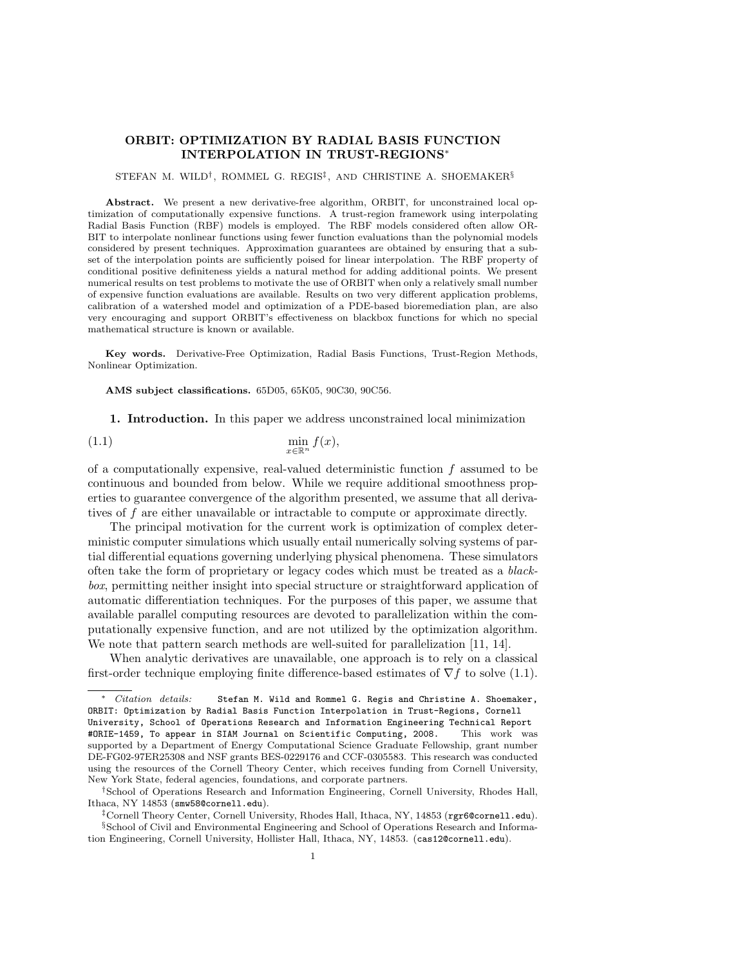## ORBIT: OPTIMIZATION BY RADIAL BASIS FUNCTION INTERPOLATION IN TRUST-REGIONS<sup>∗</sup>

## STEFAN M. WILD<sup>†</sup>, ROMMEL G. REGIS<sup>‡</sup>, AND CHRISTINE A. SHOEMAKER<sup>§</sup>

Abstract. We present a new derivative-free algorithm, ORBIT, for unconstrained local optimization of computationally expensive functions. A trust-region framework using interpolating Radial Basis Function (RBF) models is employed. The RBF models considered often allow OR-BIT to interpolate nonlinear functions using fewer function evaluations than the polynomial models considered by present techniques. Approximation guarantees are obtained by ensuring that a subset of the interpolation points are sufficiently poised for linear interpolation. The RBF property of conditional positive definiteness yields a natural method for adding additional points. We present numerical results on test problems to motivate the use of ORBIT when only a relatively small number of expensive function evaluations are available. Results on two very different application problems, calibration of a watershed model and optimization of a PDE-based bioremediation plan, are also very encouraging and support ORBIT's effectiveness on blackbox functions for which no special mathematical structure is known or available.

Key words. Derivative-Free Optimization, Radial Basis Functions, Trust-Region Methods, Nonlinear Optimization.

AMS subject classifications. 65D05, 65K05, 90C30, 90C56.

1. Introduction. In this paper we address unconstrained local minimization

$$
\min_{x \in \mathbb{R}^n} f(x),
$$

of a computationally expensive, real-valued deterministic function  $f$  assumed to be continuous and bounded from below. While we require additional smoothness properties to guarantee convergence of the algorithm presented, we assume that all derivatives of f are either unavailable or intractable to compute or approximate directly.

The principal motivation for the current work is optimization of complex deterministic computer simulations which usually entail numerically solving systems of partial differential equations governing underlying physical phenomena. These simulators often take the form of proprietary or legacy codes which must be treated as a blackbox, permitting neither insight into special structure or straightforward application of automatic differentiation techniques. For the purposes of this paper, we assume that available parallel computing resources are devoted to parallelization within the computationally expensive function, and are not utilized by the optimization algorithm. We note that pattern search methods are well-suited for parallelization [11, 14].

When analytic derivatives are unavailable, one approach is to rely on a classical first-order technique employing finite difference-based estimates of  $\nabla f$  to solve (1.1).

<sup>∗</sup> Citation details: Stefan M. Wild and Rommel G. Regis and Christine A. Shoemaker, ORBIT: Optimization by Radial Basis Function Interpolation in Trust-Regions, Cornell University, School of Operations Research and Information Engineering Technical Report #ORIE-1459, To appear in SIAM Journal on Scientific Computing, 2008. This work was supported by a Department of Energy Computational Science Graduate Fellowship, grant number DE-FG02-97ER25308 and NSF grants BES-0229176 and CCF-0305583. This research was conducted using the resources of the Cornell Theory Center, which receives funding from Cornell University, New York State, federal agencies, foundations, and corporate partners.

<sup>†</sup>School of Operations Research and Information Engineering, Cornell University, Rhodes Hall, Ithaca, NY 14853 (smw58@cornell.edu).

<sup>‡</sup>Cornell Theory Center, Cornell University, Rhodes Hall, Ithaca, NY, 14853 (rgr6@cornell.edu). §School of Civil and Environmental Engineering and School of Operations Research and Information Engineering, Cornell University, Hollister Hall, Ithaca, NY, 14853. (cas12@cornell.edu).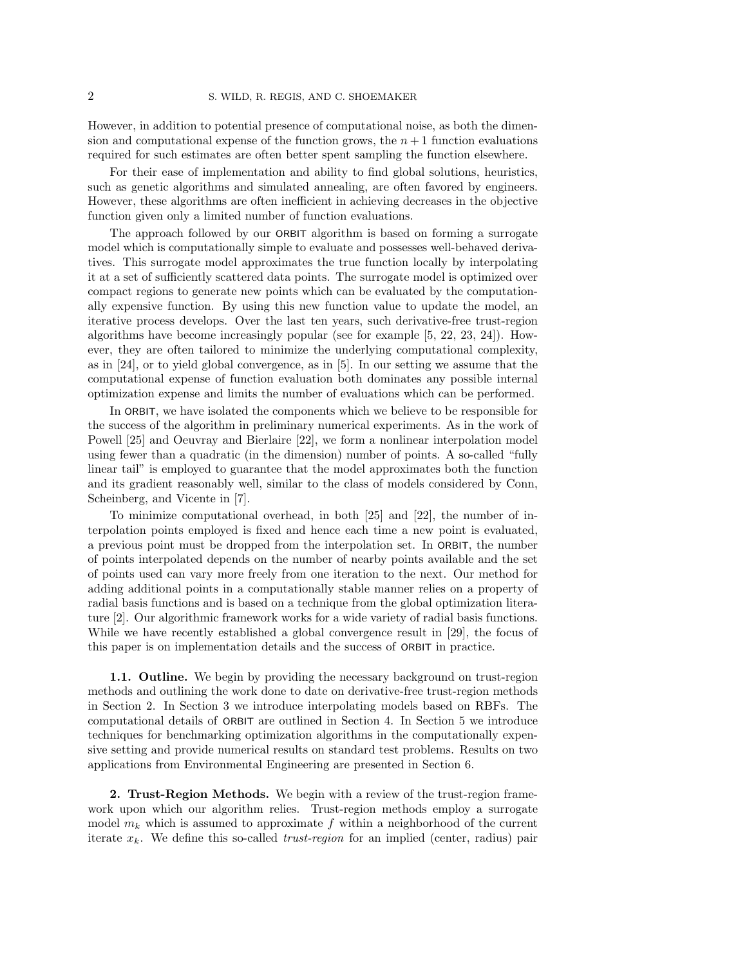However, in addition to potential presence of computational noise, as both the dimension and computational expense of the function grows, the  $n + 1$  function evaluations required for such estimates are often better spent sampling the function elsewhere.

For their ease of implementation and ability to find global solutions, heuristics, such as genetic algorithms and simulated annealing, are often favored by engineers. However, these algorithms are often inefficient in achieving decreases in the objective function given only a limited number of function evaluations.

The approach followed by our ORBIT algorithm is based on forming a surrogate model which is computationally simple to evaluate and possesses well-behaved derivatives. This surrogate model approximates the true function locally by interpolating it at a set of sufficiently scattered data points. The surrogate model is optimized over compact regions to generate new points which can be evaluated by the computationally expensive function. By using this new function value to update the model, an iterative process develops. Over the last ten years, such derivative-free trust-region algorithms have become increasingly popular (see for example [5, 22, 23, 24]). However, they are often tailored to minimize the underlying computational complexity, as in [24], or to yield global convergence, as in [5]. In our setting we assume that the computational expense of function evaluation both dominates any possible internal optimization expense and limits the number of evaluations which can be performed.

In ORBIT, we have isolated the components which we believe to be responsible for the success of the algorithm in preliminary numerical experiments. As in the work of Powell [25] and Oeuvray and Bierlaire [22], we form a nonlinear interpolation model using fewer than a quadratic (in the dimension) number of points. A so-called "fully linear tail" is employed to guarantee that the model approximates both the function and its gradient reasonably well, similar to the class of models considered by Conn, Scheinberg, and Vicente in [7].

To minimize computational overhead, in both [25] and [22], the number of interpolation points employed is fixed and hence each time a new point is evaluated, a previous point must be dropped from the interpolation set. In ORBIT, the number of points interpolated depends on the number of nearby points available and the set of points used can vary more freely from one iteration to the next. Our method for adding additional points in a computationally stable manner relies on a property of radial basis functions and is based on a technique from the global optimization literature [2]. Our algorithmic framework works for a wide variety of radial basis functions. While we have recently established a global convergence result in [29], the focus of this paper is on implementation details and the success of ORBIT in practice.

1.1. Outline. We begin by providing the necessary background on trust-region methods and outlining the work done to date on derivative-free trust-region methods in Section 2. In Section 3 we introduce interpolating models based on RBFs. The computational details of ORBIT are outlined in Section 4. In Section 5 we introduce techniques for benchmarking optimization algorithms in the computationally expensive setting and provide numerical results on standard test problems. Results on two applications from Environmental Engineering are presented in Section 6.

2. Trust-Region Methods. We begin with a review of the trust-region framework upon which our algorithm relies. Trust-region methods employ a surrogate model  $m_k$  which is assumed to approximate f within a neighborhood of the current iterate  $x_k$ . We define this so-called *trust-region* for an implied (center, radius) pair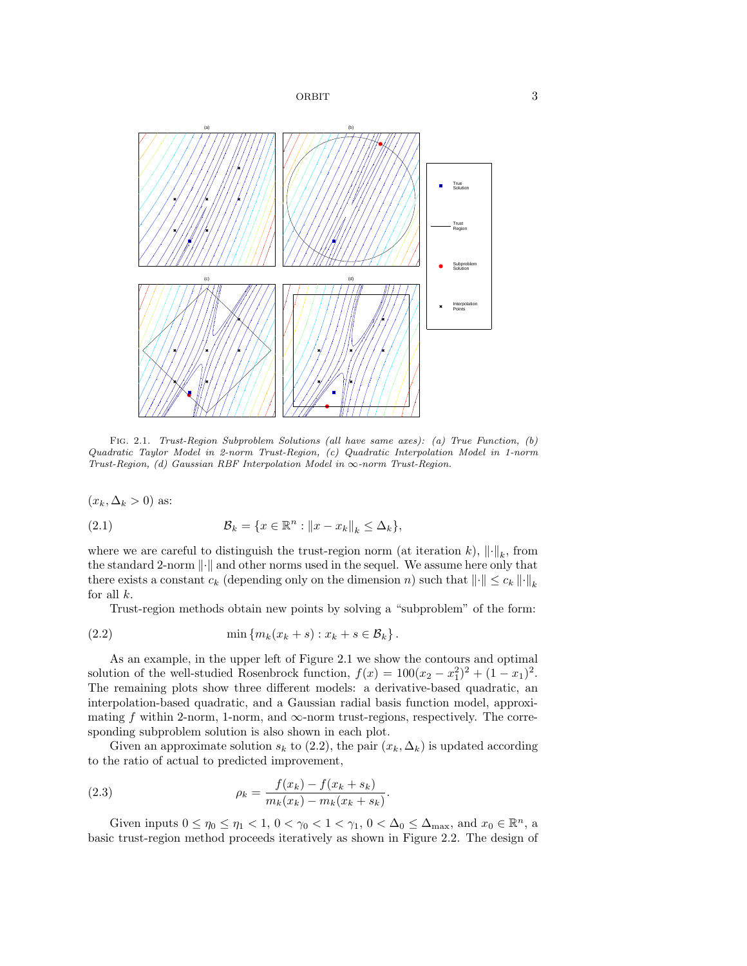

Fig. 2.1. Trust-Region Subproblem Solutions (all have same axes): (a) True Function, (b) Quadratic Taylor Model in 2-norm Trust-Region, (c) Quadratic Interpolation Model in 1-norm Trust-Region, (d) Gaussian RBF Interpolation Model in  $\infty$ -norm Trust-Region.

 $(x_k, \Delta_k > 0)$  as:

(2.1) 
$$
\mathcal{B}_k = \{x \in \mathbb{R}^n : ||x - x_k||_k \leq \Delta_k\},\
$$

where we are careful to distinguish the trust-region norm (at iteration k),  $\|\cdot\|_k$ , from the standard 2-norm  $\|\cdot\|$  and other norms used in the sequel. We assume here only that there exists a constant  $c_k$  (depending only on the dimension n) such that  $\lVert \cdot \rVert \leq c_k \lVert \cdot \rVert_k$ for all  $k$ .

Trust-region methods obtain new points by solving a "subproblem" of the form:

$$
(2.2) \qquad \qquad \min\left\{m_k(x_k+s): x_k+s\in\mathcal{B}_k\right\}.
$$

As an example, in the upper left of Figure 2.1 we show the contours and optimal solution of the well-studied Rosenbrock function,  $f(x) = 100(x_2 - x_1^2)^2 + (1 - x_1)^2$ . The remaining plots show three different models: a derivative-based quadratic, an interpolation-based quadratic, and a Gaussian radial basis function model, approximating f within 2-norm, 1-norm, and  $\infty$ -norm trust-regions, respectively. The corresponding subproblem solution is also shown in each plot.

Given an approximate solution  $s_k$  to (2.2), the pair  $(x_k, \Delta_k)$  is updated according to the ratio of actual to predicted improvement,

(2.3) 
$$
\rho_k = \frac{f(x_k) - f(x_k + s_k)}{m_k(x_k) - m_k(x_k + s_k)}.
$$

Given inputs  $0 \le \eta_0 \le \eta_1 < 1$ ,  $0 < \gamma_0 < 1 < \gamma_1$ ,  $0 < \Delta_0 \le \Delta_{\text{max}}$ , and  $x_0 \in \mathbb{R}^n$ , a basic trust-region method proceeds iteratively as shown in Figure 2.2. The design of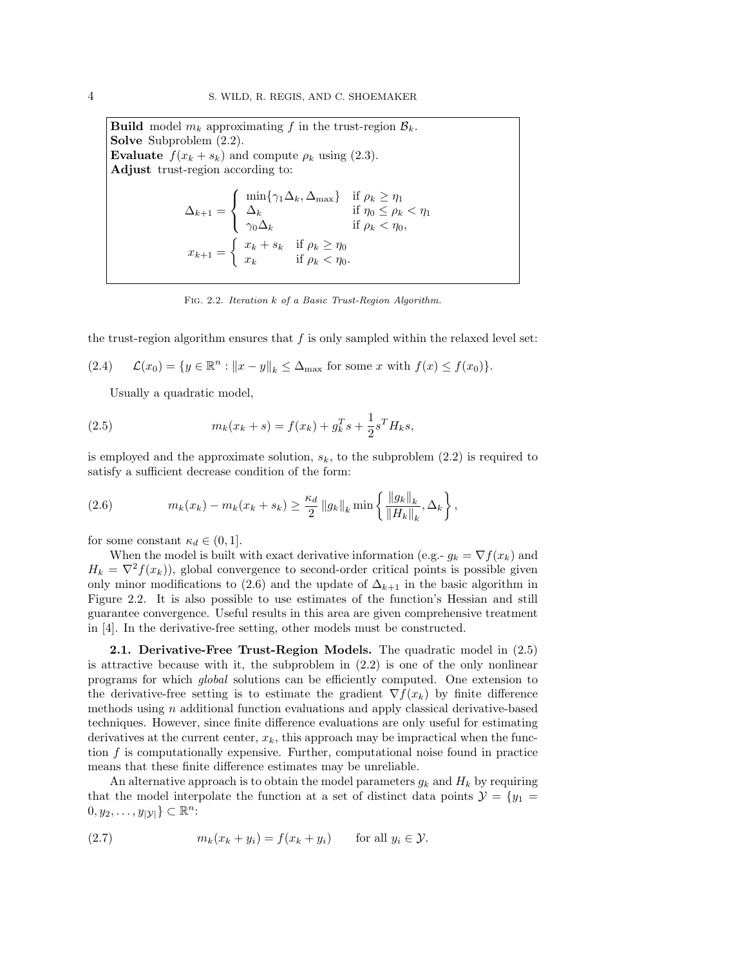**Build** model  $m_k$  approximating f in the trust-region  $\mathcal{B}_k$ . Solve Subproblem  $(2.2)$ . **Evaluate**  $f(x_k + s_k)$  and compute  $\rho_k$  using (2.3). Adjust trust-region according to:  $\Delta_{k+1} =$  $\sqrt{ }$ Į  $\mathcal{L}$  $\min\{\gamma_1\Delta_k, \Delta_{\text{max}}\}\$ if  $\rho_k \geq \eta_1$  $\Delta_k$  if  $\eta_0 \le \rho_k < \eta_1$  $\gamma_0 \Delta_k$  if  $\rho_k < \eta_0$ ,  $x_{k+1} = \begin{cases} x_k + s_k & \text{if } \rho_k \geq \eta_0 \\ x_k & \text{if } \rho_k \leq n_k \end{cases}$  $x_k$  if  $\rho_k < \eta_0$ .

Fig. 2.2. Iteration k of a Basic Trust-Region Algorithm.

the trust-region algorithm ensures that  $f$  is only sampled within the relaxed level set:

(2.4)  $\mathcal{L}(x_0) = \{y \in \mathbb{R}^n : ||x - y||_k \leq \Delta_{\text{max}} \text{ for some } x \text{ with } f(x) \leq f(x_0) \}.$ 

Usually a quadratic model,

(2.5) 
$$
m_k(x_k + s) = f(x_k) + g_k^T s + \frac{1}{2} s^T H_k s,
$$

is employed and the approximate solution,  $s_k$ , to the subproblem (2.2) is required to satisfy a sufficient decrease condition of the form:

(2.6) 
$$
m_k(x_k) - m_k(x_k + s_k) \ge \frac{\kappa_d}{2} \|g_k\|_k \min\left\{ \frac{\|g_k\|_k}{\|H_k\|_k}, \Delta_k \right\},
$$

for some constant  $\kappa_d \in (0,1]$ .

When the model is built with exact derivative information (e.g.-  $g_k = \nabla f(x_k)$ ) and  $H_k = \nabla^2 f(x_k)$ , global convergence to second-order critical points is possible given only minor modifications to (2.6) and the update of  $\Delta_{k+1}$  in the basic algorithm in Figure 2.2. It is also possible to use estimates of the function's Hessian and still guarantee convergence. Useful results in this area are given comprehensive treatment in [4]. In the derivative-free setting, other models must be constructed.

2.1. Derivative-Free Trust-Region Models. The quadratic model in (2.5) is attractive because with it, the subproblem in (2.2) is one of the only nonlinear programs for which global solutions can be efficiently computed. One extension to the derivative-free setting is to estimate the gradient  $\nabla f(x_k)$  by finite difference methods using n additional function evaluations and apply classical derivative-based techniques. However, since finite difference evaluations are only useful for estimating derivatives at the current center,  $x_k$ , this approach may be impractical when the function f is computationally expensive. Further, computational noise found in practice means that these finite difference estimates may be unreliable.

An alternative approach is to obtain the model parameters  $g_k$  and  $H_k$  by requiring that the model interpolate the function at a set of distinct data points  $\mathcal{Y} = \{y_1 =$  $[0, y_2, \ldots, y_{|\mathcal{Y}|}] \subset \mathbb{R}^n$ :

(2.7) 
$$
m_k(x_k + y_i) = f(x_k + y_i) \quad \text{for all } y_i \in \mathcal{Y}.
$$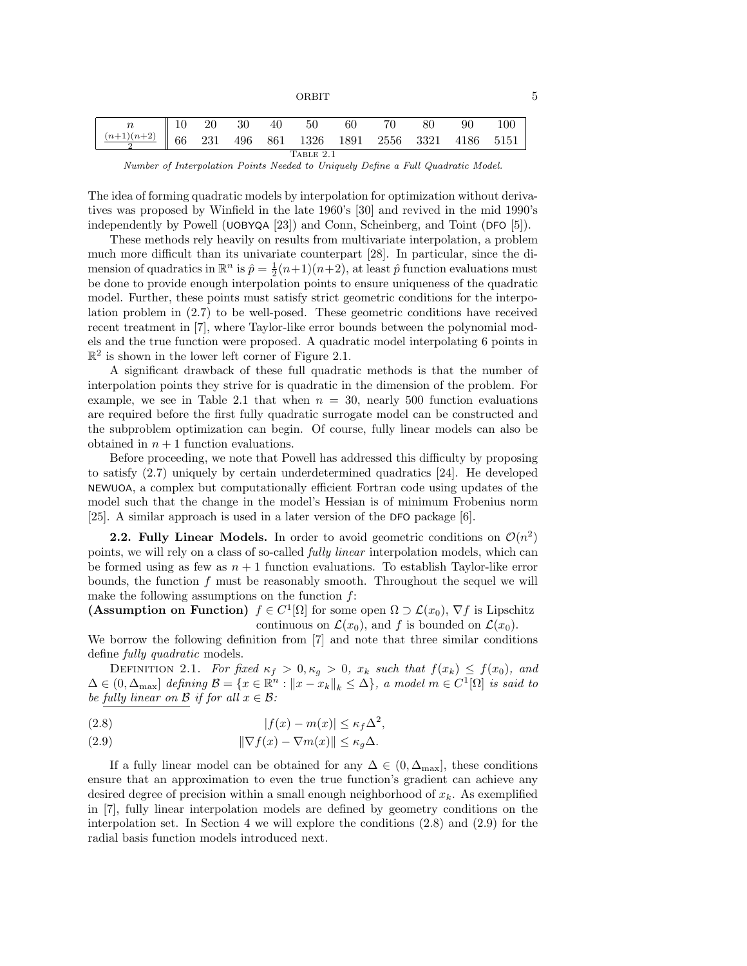ORBIT 5

| $n \parallel 10 \parallel 20$                                       |  |  |  | 30 40 | 50 | -60 | 70 | -80 | 90 | 100 |
|---------------------------------------------------------------------|--|--|--|-------|----|-----|----|-----|----|-----|
| $\frac{(n+1)(n+2)}{2}$ 66 231 496 861 1326 1891 2556 3321 4186 5151 |  |  |  |       |    |     |    |     |    |     |
| TABLE 2.1                                                           |  |  |  |       |    |     |    |     |    |     |

Number of Interpolation Points Needed to Uniquely Define a Full Quadratic Model.

The idea of forming quadratic models by interpolation for optimization without derivatives was proposed by Winfield in the late 1960's [30] and revived in the mid 1990's independently by Powell (UOBYQA [23]) and Conn, Scheinberg, and Toint (DFO [5]).

These methods rely heavily on results from multivariate interpolation, a problem much more difficult than its univariate counterpart [28]. In particular, since the dimension of quadratics in  $\mathbb{R}^n$  is  $\hat{p} = \frac{1}{2}(n+1)(n+2)$ , at least  $\hat{p}$  function evaluations must be done to provide enough interpolation points to ensure uniqueness of the quadratic model. Further, these points must satisfy strict geometric conditions for the interpolation problem in (2.7) to be well-posed. These geometric conditions have received recent treatment in [7], where Taylor-like error bounds between the polynomial models and the true function were proposed. A quadratic model interpolating 6 points in  $\mathbb{R}^2$  is shown in the lower left corner of Figure 2.1.

A significant drawback of these full quadratic methods is that the number of interpolation points they strive for is quadratic in the dimension of the problem. For example, we see in Table 2.1 that when  $n = 30$ , nearly 500 function evaluations are required before the first fully quadratic surrogate model can be constructed and the subproblem optimization can begin. Of course, fully linear models can also be obtained in  $n + 1$  function evaluations.

Before proceeding, we note that Powell has addressed this difficulty by proposing to satisfy (2.7) uniquely by certain underdetermined quadratics [24]. He developed NEWUOA, a complex but computationally efficient Fortran code using updates of the model such that the change in the model's Hessian is of minimum Frobenius norm [25]. A similar approach is used in a later version of the DFO package [6].

**2.2. Fully Linear Models.** In order to avoid geometric conditions on  $\mathcal{O}(n^2)$ points, we will rely on a class of so-called fully linear interpolation models, which can be formed using as few as  $n + 1$  function evaluations. To establish Taylor-like error bounds, the function  $f$  must be reasonably smooth. Throughout the sequel we will make the following assumptions on the function  $f$ :

(Assumption on Function)  $f \in C^1[\Omega]$  for some open  $\Omega \supset \mathcal{L}(x_0)$ ,  $\nabla f$  is Lipschitz continuous on  $\mathcal{L}(x_0)$ , and f is bounded on  $\mathcal{L}(x_0)$ .

We borrow the following definition from [7] and note that three similar conditions define *fully quadratic* models.

DEFINITION 2.1. For fixed  $\kappa_f > 0, \kappa_g > 0$ ,  $x_k$  such that  $f(x_k) \le f(x_0)$ , and  $\Delta \in (0, \Delta_{\text{max}}]$  defining  $\mathcal{B} = \{x \in \mathbb{R}^n : ||x - x_k||_k \leq \Delta\}$ , a model  $m \in C^1[\Omega]$  is said to be fully linear on  $\mathcal B$  if for all  $x \in \mathcal B$ :

(2.8) 
$$
|f(x) - m(x)| \le \kappa_f \Delta^2,
$$

(2.9) 
$$
\|\nabla f(x) - \nabla m(x)\| \le \kappa_g \Delta.
$$

If a fully linear model can be obtained for any  $\Delta \in (0, \Delta_{\text{max}}]$ , these conditions ensure that an approximation to even the true function's gradient can achieve any desired degree of precision within a small enough neighborhood of  $x_k$ . As exemplified in [7], fully linear interpolation models are defined by geometry conditions on the interpolation set. In Section 4 we will explore the conditions (2.8) and (2.9) for the radial basis function models introduced next.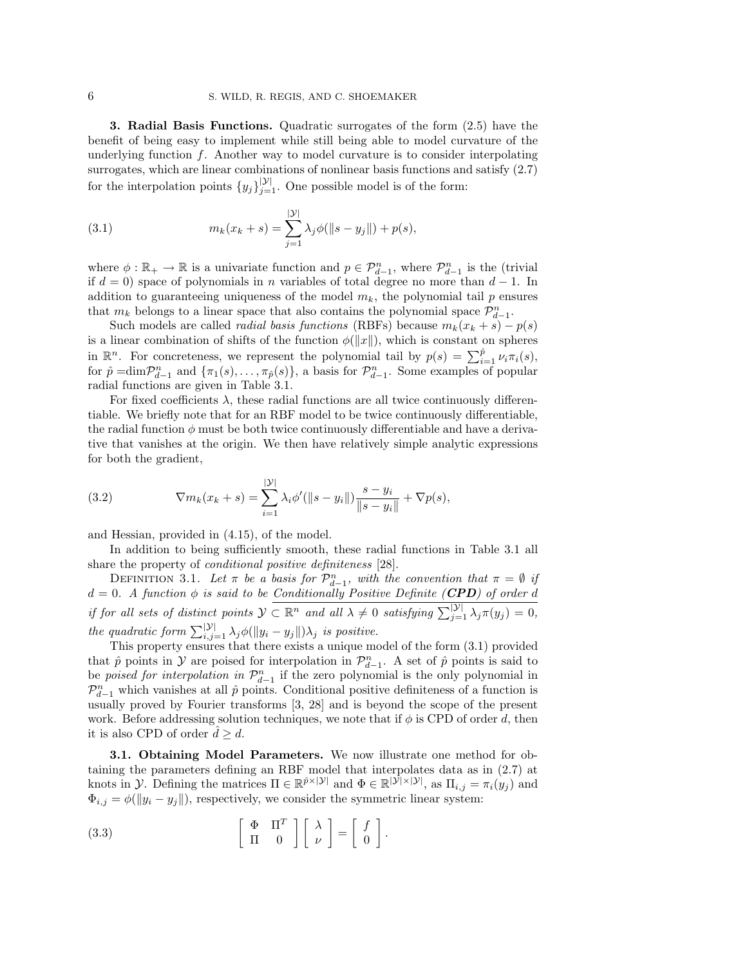3. Radial Basis Functions. Quadratic surrogates of the form (2.5) have the benefit of being easy to implement while still being able to model curvature of the underlying function  $f$ . Another way to model curvature is to consider interpolating surrogates, which are linear combinations of nonlinear basis functions and satisfy (2.7) for the interpolation points  $\{y_j\}_{j=1}^{|\mathcal{Y}|}$ . One possible model is of the form:

(3.1) 
$$
m_k(x_k + s) = \sum_{j=1}^{|\mathcal{Y}|} \lambda_j \phi(||s - y_j||) + p(s),
$$

where  $\phi : \mathbb{R}_+ \to \mathbb{R}$  is a univariate function and  $p \in \mathcal{P}_{d-1}^n$ , where  $\mathcal{P}_{d-1}^n$  is the (trivial if  $d = 0$ ) space of polynomials in *n* variables of total degree no more than  $d - 1$ . In addition to guaranteeing uniqueness of the model  $m_k$ , the polynomial tail p ensures that  $m_k$  belongs to a linear space that also contains the polynomial space  $\mathcal{P}_{d-1}^n$ .

Such models are called *radial basis functions* (RBFs) because  $m_k(x_k + s) - p(s)$ is a linear combination of shifts of the function  $\phi(||x||)$ , which is constant on spheres in  $\mathbb{R}^n$ . For concreteness, we represent the polynomial tail by  $p(s) = \sum_{i=1}^{\hat{p}} \nu_i \pi_i(s)$ , for  $\hat{p} = \dim \mathcal{P}_{d-1}^n$  and  $\{\pi_1(s), \ldots, \pi_{\hat{p}}(s)\}\$ , a basis for  $\mathcal{P}_{d-1}^n$ . Some examples of popular radial functions are given in Table 3.1.

For fixed coefficients  $\lambda$ , these radial functions are all twice continuously differentiable. We briefly note that for an RBF model to be twice continuously differentiable, the radial function  $\phi$  must be both twice continuously differentiable and have a derivative that vanishes at the origin. We then have relatively simple analytic expressions for both the gradient,

(3.2) 
$$
\nabla m_k(x_k + s) = \sum_{i=1}^{|\mathcal{Y}|} \lambda_i \phi'(\|s - y_i\|) \frac{s - y_i}{\|s - y_i\|} + \nabla p(s),
$$

and Hessian, provided in (4.15), of the model.

In addition to being sufficiently smooth, these radial functions in Table 3.1 all share the property of conditional positive definiteness [28].

DEFINITION 3.1. Let  $\pi$  be a basis for  $\mathcal{P}_{d-1}^n$ , with the convention that  $\pi = \emptyset$  if  $d = 0$ . A function  $\phi$  is said to be Conditionally Positive Definite (CPD) of order d if for all sets of distinct points  $\mathcal{Y} \subset \mathbb{R}^n$  and all  $\lambda \neq 0$  satisfying  $\sum_{j=1}^{|\mathcal{Y}|} \lambda_j \pi(y_j) = 0$ , the quadratic form  $\sum_{i,j=1}^{|\mathcal{Y}|} \lambda_j \phi(||y_i - y_j||) \lambda_j$  is positive.

This property ensures that there exists a unique model of the form (3.1) provided that  $\hat{p}$  points in  $\mathcal Y$  are poised for interpolation in  $\mathcal P_{d-1}^n$ . A set of  $\hat{p}$  points is said to be *poised for interpolation in*  $\mathcal{P}_{d-1}^n$  if the zero polynomial is the only polynomial in  $\mathcal{P}_{d-1}^n$  which vanishes at all  $\hat{p}$  points. Conditional positive definiteness of a function is usually proved by Fourier transforms [3, 28] and is beyond the scope of the present work. Before addressing solution techniques, we note that if  $\phi$  is CPD of order d, then it is also CPD of order  $d > d$ .

**3.1. Obtaining Model Parameters.** We now illustrate one method for obtaining the parameters defining an RBF model that interpolates data as in (2.7) at knots in *y*. Defining the matrices  $\Pi \in \mathbb{R}^{\hat{p} \times |\mathcal{Y}|}$  and  $\Phi \in \mathbb{R}^{|\mathcal{Y}| \times |\mathcal{Y}|}$ , as  $\Pi_{i,j} = \pi_i(y_j)$  and  $\Phi_{i,j} = \phi(||y_i - y_j||)$ , respectively, we consider the symmetric linear system:

(3.3) 
$$
\left[\begin{array}{cc} \Phi & \Pi^T \\ \Pi & 0 \end{array}\right] \left[\begin{array}{c} \lambda \\ \nu \end{array}\right] = \left[\begin{array}{c} f \\ 0 \end{array}\right].
$$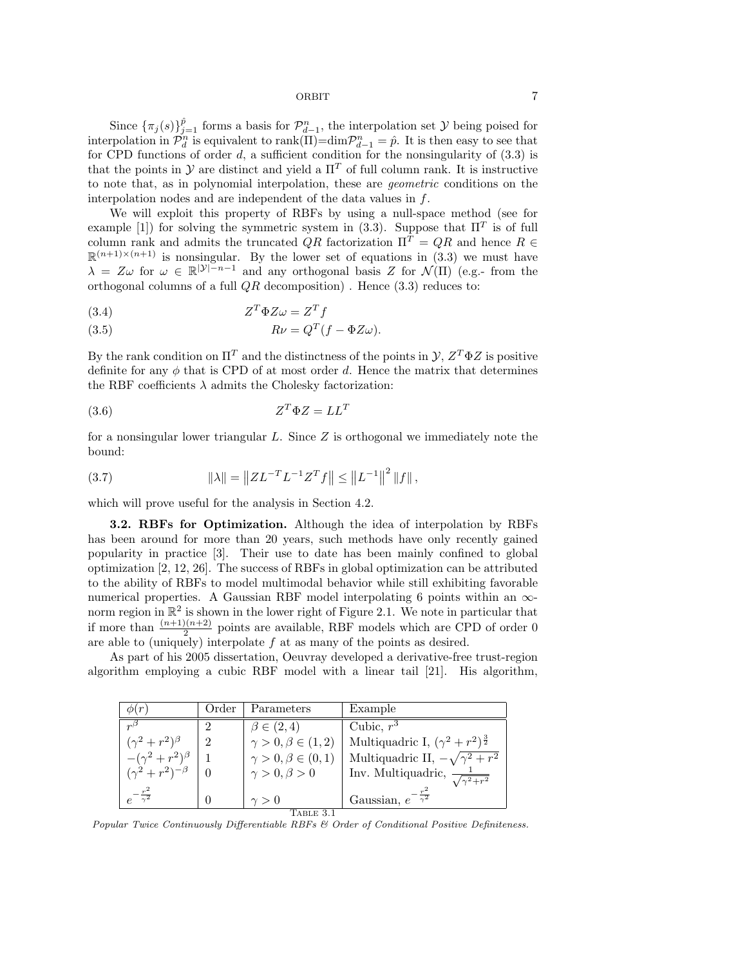Since  $\{\pi_j(s)\}_{j=1}^{\hat{p}}$  forms a basis for  $\mathcal{P}_{d-1}^n$ , the interpolation set  $\mathcal Y$  being poised for interpolation in  $\mathcal{P}_d^n$  is equivalent to rank( $\Pi$ )=dim $\mathcal{P}_{d-1}^n = \hat{p}$ . It is then easy to see that for CPD functions of order  $d$ , a sufficient condition for the nonsingularity of  $(3.3)$  is that the points in  $\mathcal Y$  are distinct and yield a  $\Pi^T$  of full column rank. It is instructive to note that, as in polynomial interpolation, these are geometric conditions on the interpolation nodes and are independent of the data values in f.

We will exploit this property of RBFs by using a null-space method (see for example [1]) for solving the symmetric system in (3.3). Suppose that  $\Pi^T$  is of full column rank and admits the truncated  $QR$  factorization  $\Pi^T = QR$  and hence  $R \in$  $\mathbb{R}^{(n+1)\times(n+1)}$  is nonsingular. By the lower set of equations in (3.3) we must have  $\lambda = Z\omega$  for  $\omega \in \mathbb{R}^{|\mathcal{Y}|-n-1}$  and any orthogonal basis Z for  $\mathcal{N}(\Pi)$  (e.g.-from the orthogonal columns of a full  $QR$  decomposition). Hence  $(3.3)$  reduces to:

$$
(3.4) \t\t Z^T \Phi Z \omega = Z^T f
$$

(3.5) 
$$
R\nu = Q^T(f - \Phi Z \omega).
$$

By the rank condition on  $\Pi^T$  and the distinctness of the points in  $\mathcal{Y}, Z^T \Phi Z$  is positive definite for any  $\phi$  that is CPD of at most order d. Hence the matrix that determines the RBF coefficients  $\lambda$  admits the Cholesky factorization:

$$
(3.6) \t\t Z^T \Phi Z = LL^T
$$

for a nonsingular lower triangular  $L$ . Since  $Z$  is orthogonal we immediately note the bound:

(3.7) 
$$
\|\lambda\| = \|Z L^{-T} L^{-1} Z^{T} f\| \le \|L^{-1}\|^{2} \|f\|,
$$

which will prove useful for the analysis in Section 4.2.

3.2. RBFs for Optimization. Although the idea of interpolation by RBFs has been around for more than 20 years, such methods have only recently gained popularity in practice [3]. Their use to date has been mainly confined to global optimization [2, 12, 26]. The success of RBFs in global optimization can be attributed to the ability of RBFs to model multimodal behavior while still exhibiting favorable numerical properties. A Gaussian RBF model interpolating 6 points within an  $\infty$ norm region in  $\mathbb{R}^2$  is shown in the lower right of Figure 2.1. We note in particular that if more than  $\frac{(n+1)(n+2)}{2}$  points are available, RBF models which are CPD of order 0 are able to (uniquely) interpolate  $f$  at as many of the points as desired.

As part of his 2005 dissertation, Oeuvray developed a derivative-free trust-region algorithm employing a cubic RBF model with a linear tail [21]. His algorithm,

| $\phi(r)$                                       | Order         | Parameters                    | Example                                            |  |  |  |  |
|-------------------------------------------------|---------------|-------------------------------|----------------------------------------------------|--|--|--|--|
| $n^{5}$                                         |               | $\beta \in (2,4)$             | Cubic, $r^3$                                       |  |  |  |  |
| $(\gamma^2 + r^2)^{\beta}$                      | $\mathcal{D}$ | $\gamma > 0, \beta \in (1,2)$ | Multiquadric I, $(\gamma^2 + r^2)^{\frac{3}{2}}$   |  |  |  |  |
| $-(\gamma^2+r^2)$ <sup><math>\beta</math></sup> |               | $\gamma > 0, \beta \in (0,1)$ | Multiquadric II, $-\sqrt{\gamma^2 + r^2}$          |  |  |  |  |
| $(\gamma^2 + r^2)^{-\beta}$                     |               | $\gamma > 0, \beta > 0$       | Inv. Multiquadric, $\frac{1}{\sqrt{\gamma^2+r^2}}$ |  |  |  |  |
| $e^{-\frac{r^2}{\gamma^2}}$                     |               | $\gamma > 0$                  | Gaussian, $e^{-\frac{r^2}{\gamma^2}}$              |  |  |  |  |
| TABLE 3.1                                       |               |                               |                                                    |  |  |  |  |

Popular Twice Continuously Differentiable RBFs & Order of Conditional Positive Definiteness.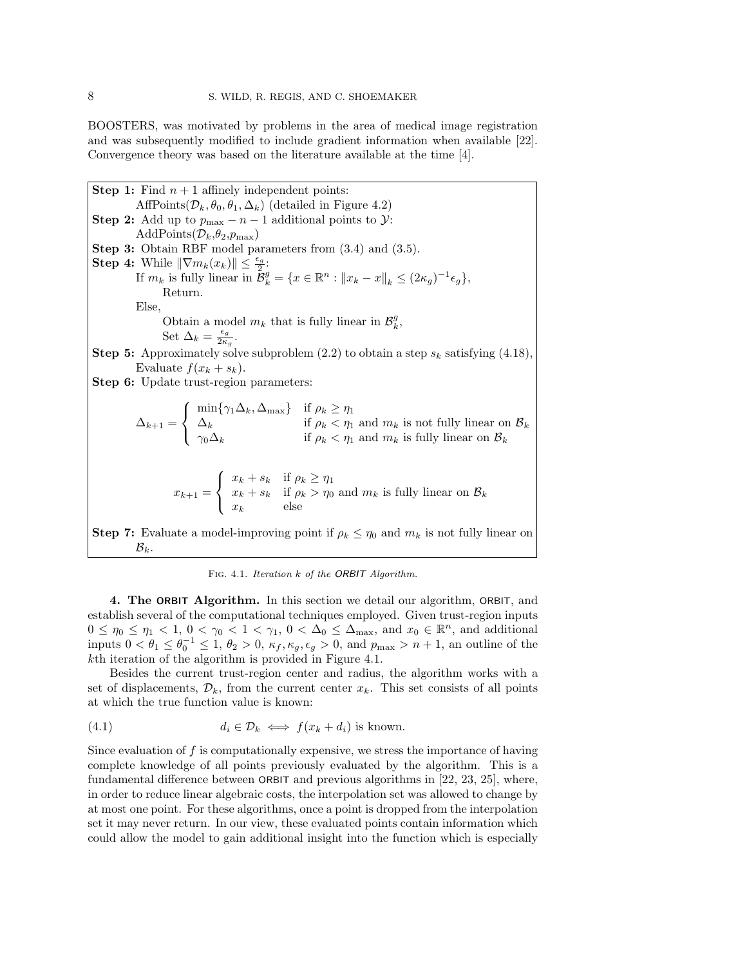BOOSTERS, was motivated by problems in the area of medical image registration and was subsequently modified to include gradient information when available [22]. Convergence theory was based on the literature available at the time [4].

**Step 1:** Find  $n + 1$  affinely independent points: AffPoints( $\mathcal{D}_k$ ,  $\theta_0$ ,  $\theta_1$ ,  $\Delta_k$ ) (detailed in Figure 4.2) Step 2: Add up to  $p_{\text{max}} - n - 1$  additional points to  $\mathcal{Y}$ : AddPoints $(\mathcal{D}_k,\theta_2,p_{\max})$ Step 3: Obtain RBF model parameters from (3.4) and (3.5). Step 4: While  $\|\nabla m_k(x_k)\| \leq \frac{\epsilon_g}{2}$ . If  $m_k$  is fully linear in  $\tilde{\mathcal{B}}_k^g = \{x \in \mathbb{R}^n : ||x_k - x||_k \leq (2\kappa_g)^{-1} \epsilon_g\},\$ Return. Else, Obtain a model  $m_k$  that is fully linear in  $\mathcal{B}_k^g$ , Set  $\Delta_k = \frac{\epsilon_g}{2\kappa}$  $rac{\epsilon_g}{2\kappa_g}$ . **Step 5:** Approximately solve subproblem  $(2.2)$  to obtain a step  $s_k$  satisfying  $(4.18)$ , Evaluate  $f(x_k + s_k)$ . Step 6: Update trust-region parameters:  $\Delta_{k+1} =$  $\sqrt{ }$ J  $\mathcal{L}$  $\min\{\gamma_1\Delta_k, \Delta_{\text{max}}\}\$ if  $\rho_k \geq \eta_1$  $\Delta_k$  if  $\rho_k < \eta_1$  and  $m_k$  is not fully linear on  $\mathcal{B}_k$  $\gamma_0 \Delta_k$  if  $\rho_k < \eta_1$  and  $m_k$  is fully linear on  $\mathcal{B}_k$  $x_{k+1} =$  $\sqrt{ }$ <sup>J</sup>  $\mathcal{L}$  $x_k + s_k$  if  $\rho_k \geq \eta_1$  $x_k + s_k$  if  $\rho_k > \eta_0$  and  $m_k$  is fully linear on  $\mathcal{B}_k$  $x_k$  else Step 7: Evaluate a model-improving point if  $\rho_k \leq \eta_0$  and  $m_k$  is not fully linear on  $\mathcal{B}_k$ .

Fig. 4.1. Iteration k of the ORBIT Algorithm.

4. The ORBIT Algorithm. In this section we detail our algorithm, ORBIT, and establish several of the computational techniques employed. Given trust-region inputs  $0 \leq \eta_0 \leq \eta_1 < 1, 0 < \gamma_0 < 1 < \gamma_1, 0 < \Delta_0 \leq \Delta_{\text{max}}$ , and  $x_0 \in \mathbb{R}^n$ , and additional inputs  $0 < \theta_1 \leq \theta_0^{-1} \leq 1$ ,  $\theta_2 > 0$ ,  $\kappa_f, \kappa_g, \epsilon_g > 0$ , and  $p_{\text{max}} > n + 1$ , an outline of the kth iteration of the algorithm is provided in Figure 4.1.

Besides the current trust-region center and radius, the algorithm works with a set of displacements,  $\mathcal{D}_k$ , from the current center  $x_k$ . This set consists of all points at which the true function value is known:

(4.1) 
$$
d_i \in \mathcal{D}_k \iff f(x_k + d_i) \text{ is known.}
$$

Since evaluation of f is computationally expensive, we stress the importance of having complete knowledge of all points previously evaluated by the algorithm. This is a fundamental difference between ORBIT and previous algorithms in [22, 23, 25], where, in order to reduce linear algebraic costs, the interpolation set was allowed to change by at most one point. For these algorithms, once a point is dropped from the interpolation set it may never return. In our view, these evaluated points contain information which could allow the model to gain additional insight into the function which is especially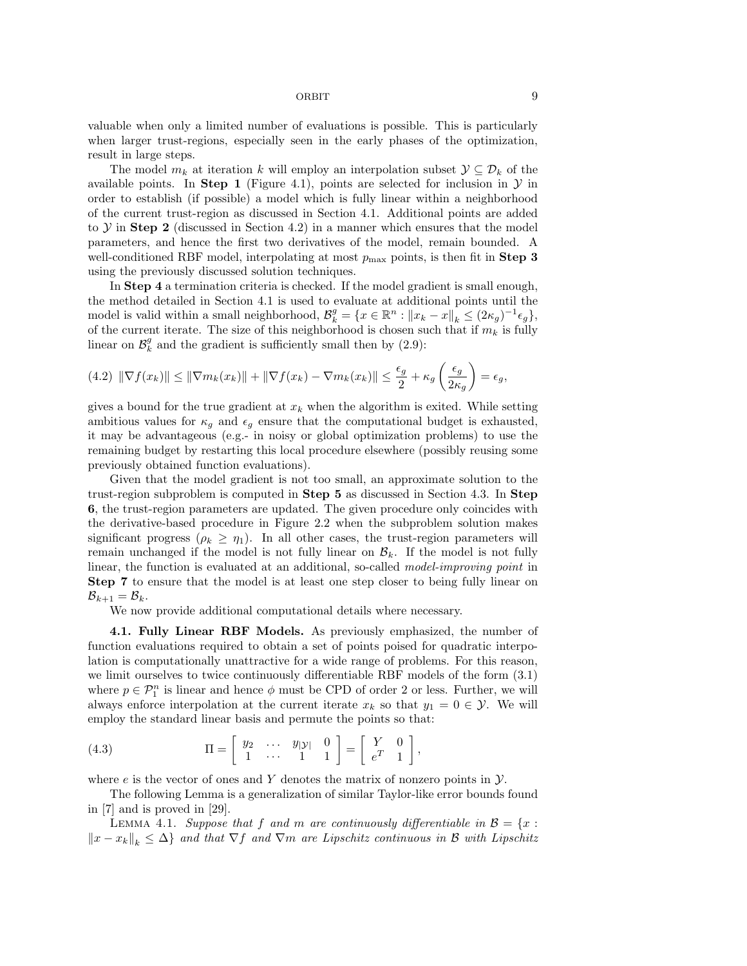valuable when only a limited number of evaluations is possible. This is particularly when larger trust-regions, especially seen in the early phases of the optimization, result in large steps.

The model  $m_k$  at iteration k will employ an interpolation subset  $\mathcal{Y} \subseteq \mathcal{D}_k$  of the available points. In Step 1 (Figure 4.1), points are selected for inclusion in  $\mathcal Y$  in order to establish (if possible) a model which is fully linear within a neighborhood of the current trust-region as discussed in Section 4.1. Additional points are added to  $Y$  in Step 2 (discussed in Section 4.2) in a manner which ensures that the model parameters, and hence the first two derivatives of the model, remain bounded. A well-conditioned RBF model, interpolating at most  $p_{\text{max}}$  points, is then fit in Step 3 using the previously discussed solution techniques.

In Step 4 a termination criteria is checked. If the model gradient is small enough, the method detailed in Section 4.1 is used to evaluate at additional points until the model is valid within a small neighborhood,  $\mathcal{B}_{k}^{g} = \{x \in \mathbb{R}^{n} : ||x_{k} - x||_{k} \leq (2\kappa_{g})^{-1} \epsilon_{g}\},$ of the current iterate. The size of this neighborhood is chosen such that if  $m_k$  is fully linear on  $\mathcal{B}_{k}^{g}$  and the gradient is sufficiently small then by (2.9):

$$
(4.2) \|\nabla f(x_k)\| \le \|\nabla m_k(x_k)\| + \|\nabla f(x_k) - \nabla m_k(x_k)\| \le \frac{\epsilon_g}{2} + \kappa_g \left(\frac{\epsilon_g}{2\kappa_g}\right) = \epsilon_g,
$$

gives a bound for the true gradient at  $x_k$  when the algorithm is exited. While setting ambitious values for  $\kappa_g$  and  $\epsilon_g$  ensure that the computational budget is exhausted, it may be advantageous (e.g.- in noisy or global optimization problems) to use the remaining budget by restarting this local procedure elsewhere (possibly reusing some previously obtained function evaluations).

Given that the model gradient is not too small, an approximate solution to the trust-region subproblem is computed in Step 5 as discussed in Section 4.3. In Step 6, the trust-region parameters are updated. The given procedure only coincides with the derivative-based procedure in Figure 2.2 when the subproblem solution makes significant progress ( $\rho_k \geq \eta_1$ ). In all other cases, the trust-region parameters will remain unchanged if the model is not fully linear on  $\mathcal{B}_k$ . If the model is not fully linear, the function is evaluated at an additional, so-called *model-improving point* in Step 7 to ensure that the model is at least one step closer to being fully linear on  $\mathcal{B}_{k+1} = \mathcal{B}_k.$ 

We now provide additional computational details where necessary.

4.1. Fully Linear RBF Models. As previously emphasized, the number of function evaluations required to obtain a set of points poised for quadratic interpolation is computationally unattractive for a wide range of problems. For this reason, we limit ourselves to twice continuously differentiable RBF models of the form (3.1) where  $p \in \mathcal{P}_1^n$  is linear and hence  $\phi$  must be CPD of order 2 or less. Further, we will always enforce interpolation at the current iterate  $x_k$  so that  $y_1 = 0 \in \mathcal{Y}$ . We will employ the standard linear basis and permute the points so that:

(4.3) 
$$
\Pi = \left[ \begin{array}{ccc} y_2 & \cdots & y_{|\mathcal{Y}|} & 0 \\ 1 & \cdots & 1 & 1 \end{array} \right] = \left[ \begin{array}{ccc} Y & 0 \\ e^T & 1 \end{array} \right],
$$

where  $e$  is the vector of ones and Y denotes the matrix of nonzero points in  $\mathcal{Y}$ .

The following Lemma is a generalization of similar Taylor-like error bounds found in [7] and is proved in [29].

LEMMA 4.1. Suppose that f and m are continuously differentiable in  $\mathcal{B} = \{x :$  $||x - x_k||_k \leq \Delta$  and that  $\nabla f$  and  $\nabla m$  are Lipschitz continuous in B with Lipschitz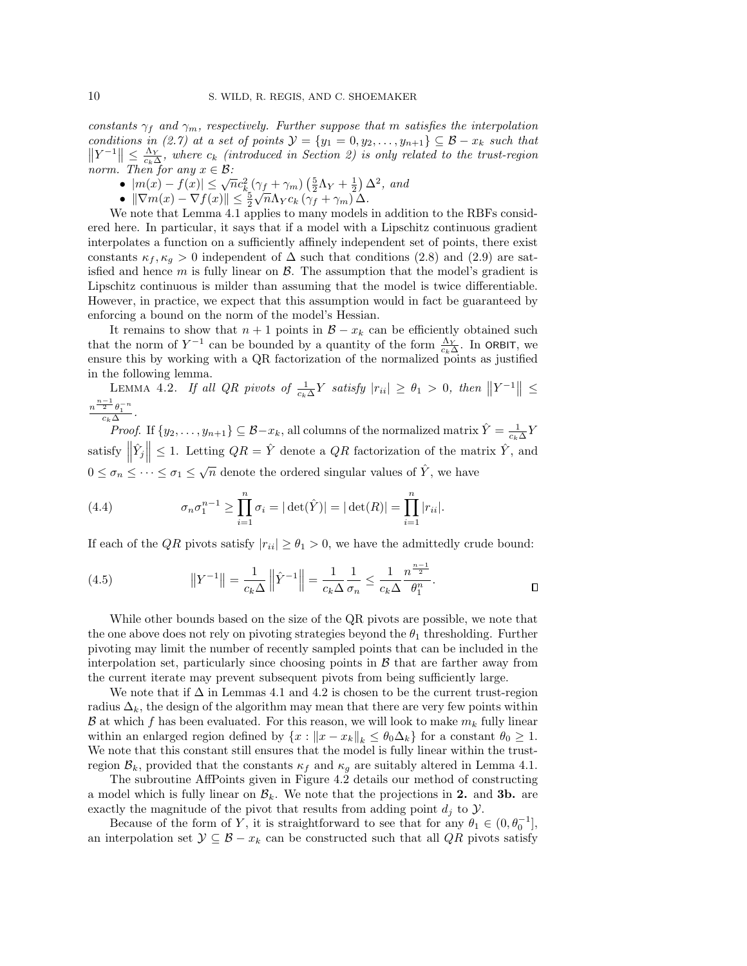constants  $\gamma_f$  and  $\gamma_m$ , respectively. Further suppose that m satisfies the interpolation conditions in (2.7) at a set of points  $\mathcal{Y} = \{y_1 = 0, y_2, \ldots, y_{n+1}\} \subseteq \mathcal{B} - x_k$  such that  $||Y^{-1}|| \leq \frac{\Lambda_Y}{c_k \Delta_r}$ , where  $c_k$  (introduced in Section 2) is only related to the trust-region norm. Then for any  $x \in \mathcal{B}$ :

- $|m(x) f(x)| \leq \sqrt{n}c_k^2(\gamma_f + \gamma_m)\left(\frac{5}{2}\Lambda_Y + \frac{1}{2}\right)\Delta^2$ , and
- $\|\nabla m(x)-\nabla f(x)\| \leq \frac{\kappa_5}{2} \sqrt{n} \Lambda_Y c_k \left(\gamma_f + \gamma_m\right) \Delta.$

We note that Lemma 4.1 applies to many models in addition to the RBFs considered here. In particular, it says that if a model with a Lipschitz continuous gradient interpolates a function on a sufficiently affinely independent set of points, there exist constants  $\kappa_f, \kappa_g > 0$  independent of  $\Delta$  such that conditions (2.8) and (2.9) are satisfied and hence  $m$  is fully linear on  $\beta$ . The assumption that the model's gradient is Lipschitz continuous is milder than assuming that the model is twice differentiable. However, in practice, we expect that this assumption would in fact be guaranteed by enforcing a bound on the norm of the model's Hessian.

It remains to show that  $n + 1$  points in  $\mathcal{B} - x_k$  can be efficiently obtained such that the norm of  $Y^{-1}$  can be bounded by a quantity of the form  $\frac{\Lambda_Y}{c_k\Delta}$ . In ORBIT, we ensure this by working with a QR factorization of the normalized points as justified in the following lemma.

LEMMA 4.2. If all QR pivots of  $\frac{1}{c_k\Delta}Y$  satisfy  $|r_{ii}|\geq \theta_1 > 0$ , then  $||Y^{-1}|| \leq$  $\frac{n^{\frac{n-1}{2}}\theta_1^{-n}}{c_k\Delta}.$ 

*Proof.* If  $\{y_2, \ldots, y_{n+1}\} \subseteq \mathcal{B} - x_k$ , all columns of the normalized matrix  $\hat{Y} = \frac{1}{c_k \Delta} Y$ satisfy  $\left\| \hat{Y}_j \right\| \leq 1$ . Letting  $QR = \hat{Y}$  denote a  $QR$  factorization of the matrix  $\hat{Y}$ , and Щ  $0 \leq \sigma_n \leq \cdots \leq \sigma_1 \leq \sqrt{n}$  denote the ordered singular values of  $\hat{Y}$ , we have

(4.4) 
$$
\sigma_n \sigma_1^{n-1} \ge \prod_{i=1}^n \sigma_i = |\det(\hat{Y})| = |\det(R)| = \prod_{i=1}^n |r_{ii}|.
$$

If each of the QR pivots satisfy  $|r_{ii}| \geq \theta_1 > 0$ , we have the admittedly crude bound:

(4.5) 
$$
||Y^{-1}|| = \frac{1}{c_k \Delta} ||\hat{Y}^{-1}|| = \frac{1}{c_k \Delta} \frac{1}{\sigma_n} \le \frac{1}{c_k \Delta} \frac{n^{\frac{n-1}{2}}}{\theta_1^n}.
$$

While other bounds based on the size of the QR pivots are possible, we note that the one above does not rely on pivoting strategies beyond the  $\theta_1$  thresholding. Further pivoting may limit the number of recently sampled points that can be included in the interpolation set, particularly since choosing points in  $\beta$  that are farther away from the current iterate may prevent subsequent pivots from being sufficiently large.

We note that if  $\Delta$  in Lemmas 4.1 and 4.2 is chosen to be the current trust-region radius  $\Delta_k$ , the design of the algorithm may mean that there are very few points within  $\mathcal B$  at which f has been evaluated. For this reason, we will look to make  $m_k$  fully linear within an enlarged region defined by  $\{x : ||x - x_k||_k \leq \theta_0 \Delta_k\}$  for a constant  $\theta_0 \geq 1$ . We note that this constant still ensures that the model is fully linear within the trustregion  $\mathcal{B}_k$ , provided that the constants  $\kappa_f$  and  $\kappa_g$  are suitably altered in Lemma 4.1.

The subroutine AffPoints given in Figure 4.2 details our method of constructing a model which is fully linear on  $\mathcal{B}_k$ . We note that the projections in 2. and 3b. are exactly the magnitude of the pivot that results from adding point  $d_j$  to  $\mathcal{Y}$ .

Because of the form of Y, it is straightforward to see that for any  $\theta_1 \in (0, \theta_0^{-1}],$ an interpolation set  $\mathcal{Y} \subseteq \mathcal{B} - x_k$  can be constructed such that all  $QR$  pivots satisfy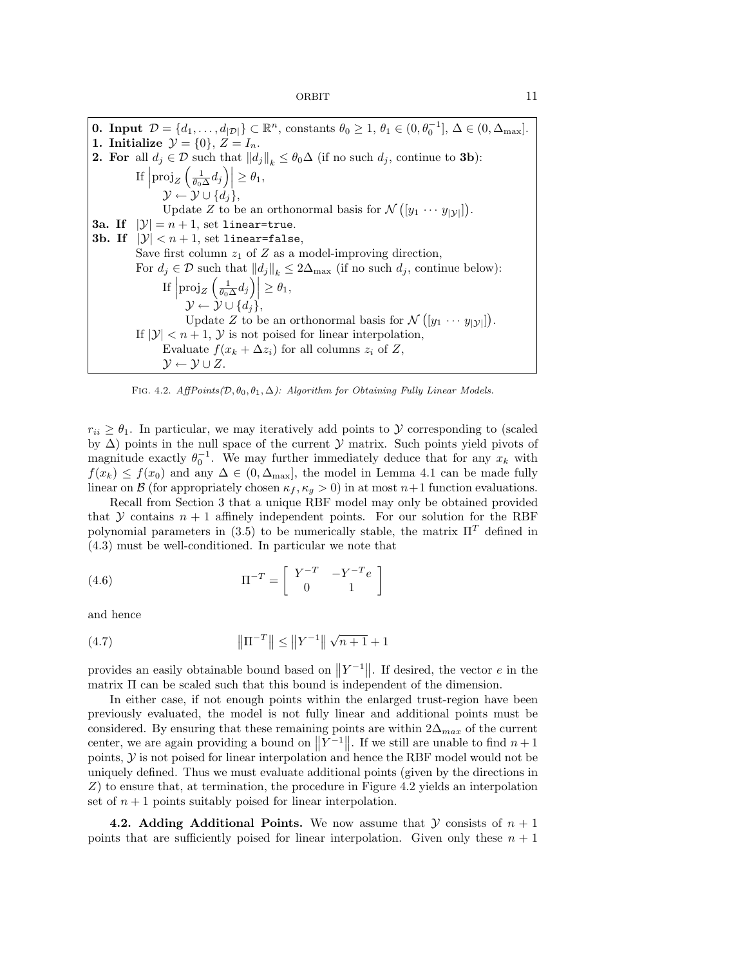**0.** Input  $\mathcal{D} = \{d_1, \ldots, d_{|\mathcal{D}|}\}\subset \mathbb{R}^n$ , constants  $\theta_0 \geq 1$ ,  $\theta_1 \in (0, \theta_0^{-1}], \Delta \in (0, \Delta_{\text{max}}].$ 1. Initialize  $\mathcal{Y} = \{0\}, Z = I_n$ . **2. For** all  $d_j \in \mathcal{D}$  such that  $||d_j||_k \leq \theta_0 \Delta$  (if no such  $d_j$ , continue to **3b**): If  $\left| \text{proj}_Z \left( \frac{1}{\theta_0 \Delta} d_j \right) \right| \geq \theta_1$ ,  $\mathcal{Y} \leftarrow \mathcal{Y} \cup \{d_j\},\$ Update Z to be an orthonormal basis for  $\mathcal{N}([y_1 \cdots y_{|\mathcal{Y}|}])$ . **3a.** If  $|\mathcal{Y}| = n + 1$ , set linear=true. 3b. If  $|\mathcal{Y}| < n+1$ , set linear=false, Save first column  $z_1$  of Z as a model-improving direction, For  $d_j \in \mathcal{D}$  such that  $||d_j||_k \leq 2\Delta_{\text{max}}$  (if no such  $d_j$ , continue below): If  $\left| \text{proj}_Z \left( \frac{1}{\theta_0 \Delta} d_j \right) \right| \geq \theta_1$ ,  $\mathcal{Y} \leftarrow \mathcal{Y} \cup \{d_j\},\$ Update Z to be an orthonormal basis for  $\mathcal{N}([y_1 \cdots y_{|\mathcal{Y}|}])$ . If  $|\mathcal{Y}| < n+1$ , Y is not poised for linear interpolation, Evaluate  $f(x_k + \Delta z_i)$  for all columns  $z_i$  of Z,  $\mathcal{Y} \leftarrow \mathcal{Y} \cup Z.$ 

FIG. 4.2.  $AffPoints(\mathcal{D}, \theta_0, \theta_1, \Delta)$ : Algorithm for Obtaining Fully Linear Models.

 $r_{ii} \geq \theta_1$ . In particular, we may iteratively add points to  $\mathcal Y$  corresponding to (scaled by  $\Delta$ ) points in the null space of the current  $\mathcal Y$  matrix. Such points yield pivots of magnitude exactly  $\theta_0^{-1}$ . We may further immediately deduce that for any  $x_k$  with  $f(x_k) \leq f(x_0)$  and any  $\Delta \in (0, \Delta_{\text{max}}]$ , the model in Lemma 4.1 can be made fully linear on B (for appropriately chosen  $\kappa_f, \kappa_g > 0$ ) in at most  $n+1$  function evaluations.

Recall from Section 3 that a unique RBF model may only be obtained provided that Y contains  $n + 1$  affinely independent points. For our solution for the RBF polynomial parameters in (3.5) to be numerically stable, the matrix  $\Pi^T$  defined in (4.3) must be well-conditioned. In particular we note that

(4.6) 
$$
\Pi^{-T} = \begin{bmatrix} Y^{-T} & -Y^{-T}e \\ 0 & 1 \end{bmatrix}
$$

and hence

(4.7) 
$$
\|\Pi^{-T}\| \le \|Y^{-1}\| \sqrt{n+1} + 1
$$

provides an easily obtainable bound based on  $||Y^{-1}||$ . If desired, the vector  $e$  in the matrix Π can be scaled such that this bound is independent of the dimension.

In either case, if not enough points within the enlarged trust-region have been previously evaluated, the model is not fully linear and additional points must be considered. By ensuring that these remaining points are within  $2\Delta_{max}$  of the current center, we are again providing a bound on  $||Y^{-1}||$ . If we still are unable to find  $n+1$ points,  $\mathcal Y$  is not poised for linear interpolation and hence the RBF model would not be uniquely defined. Thus we must evaluate additional points (given by the directions in  $Z$ ) to ensure that, at termination, the procedure in Figure 4.2 yields an interpolation set of  $n+1$  points suitably poised for linear interpolation.

**4.2. Adding Additional Points.** We now assume that  $\mathcal Y$  consists of  $n + 1$ points that are sufficiently poised for linear interpolation. Given only these  $n + 1$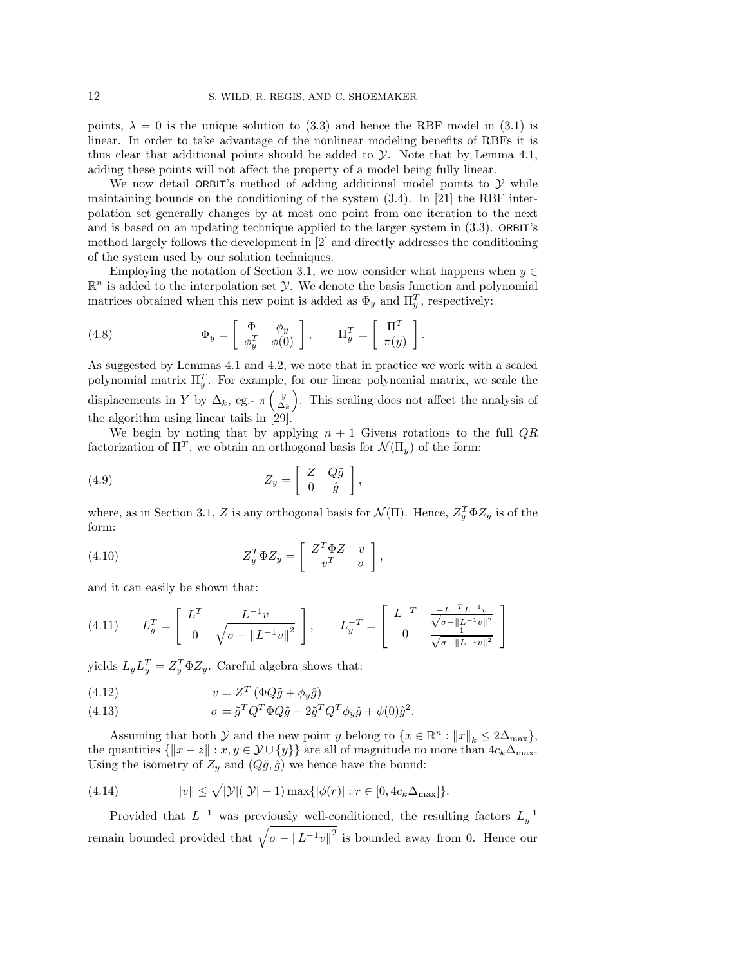points,  $\lambda = 0$  is the unique solution to (3.3) and hence the RBF model in (3.1) is linear. In order to take advantage of the nonlinear modeling benefits of RBFs it is thus clear that additional points should be added to  $\mathcal Y$ . Note that by Lemma 4.1, adding these points will not affect the property of a model being fully linear.

We now detail ORBIT's method of adding additional model points to  $\mathcal Y$  while maintaining bounds on the conditioning of the system (3.4). In [21] the RBF interpolation set generally changes by at most one point from one iteration to the next and is based on an updating technique applied to the larger system in (3.3). ORBIT's method largely follows the development in [2] and directly addresses the conditioning of the system used by our solution techniques.

Employing the notation of Section 3.1, we now consider what happens when  $y \in \mathbb{R}$  $\mathbb{R}^n$  is added to the interpolation set  $\mathcal{Y}$ . We denote the basis function and polynomial matrices obtained when this new point is added as  $\Phi_y$  and  $\Pi_y^T$ , respectively:

(4.8) 
$$
\Phi_y = \begin{bmatrix} \Phi & \phi_y \\ \phi_y^T & \phi(0) \end{bmatrix}, \qquad \Pi_y^T = \begin{bmatrix} \Pi^T \\ \pi(y) \end{bmatrix}.
$$

As suggested by Lemmas 4.1 and 4.2, we note that in practice we work with a scaled polynomial matrix  $\Pi_y^T$ . For example, for our linear polynomial matrix, we scale the displacements in Y by  $\Delta_k$ , eg.-  $\pi\left(\frac{y}{\Delta_k}\right)$ . This scaling does not affect the analysis of the algorithm using linear tails in [29].

We begin by noting that by applying  $n + 1$  Givens rotations to the full  $QR$ factorization of  $\Pi^T$ , we obtain an orthogonal basis for  $\mathcal{N}(\Pi_y)$  of the form:

(4.9) 
$$
Z_y = \begin{bmatrix} Z & Q\tilde{g} \\ 0 & \hat{g} \end{bmatrix},
$$

where, as in Section 3.1, Z is any orthogonal basis for  $\mathcal{N}(\Pi)$ . Hence,  $Z_y^T \Phi Z_y$  is of the form:

(4.10) 
$$
Z_y^T \Phi Z_y = \begin{bmatrix} Z^T \Phi Z & v \\ v^T & \sigma \end{bmatrix},
$$

and it can easily be shown that:

(4.11) 
$$
L_y^T = \begin{bmatrix} L^T & L^{-1}v \\ 0 & \sqrt{\sigma - \|L^{-1}v\|^2} \end{bmatrix}, \qquad L_y^{-T} = \begin{bmatrix} L^{-T} & \frac{-L^{-T}L^{-1}v}{\sqrt{\sigma - \|L^{-1}v\|^2}} \\ 0 & \frac{1}{\sqrt{\sigma - \|L^{-1}v\|^2}} \end{bmatrix}
$$

yields  $L_y L_y^T = Z_y^T \Phi Z_y$ . Careful algebra shows that:

(4.12) 
$$
v = Z^T \left( \Phi Q \tilde{g} + \phi_y \hat{g} \right)
$$

(4.13) 
$$
\sigma = \tilde{g}^T Q^T \Phi Q \tilde{g} + 2 \tilde{g}^T Q^T \phi_y \hat{g} + \phi(0) \hat{g}^2.
$$

Assuming that both  $\mathcal Y$  and the new point y belong to  $\{x \in \mathbb{R}^n : ||x||_k \leq 2\Delta_{\max}\},$ the quantities  $\{|x - z| : x, y \in \mathcal{Y} \cup \{y\}\}\$ are all of magnitude no more than  $4c_k\Delta_{\text{max}}$ . Using the isometry of  $Z_y$  and  $(Q\tilde{g}, \hat{g})$  we hence have the bound:

(4.14) 
$$
||v|| \le \sqrt{|\mathcal{Y}|(|\mathcal{Y}|+1)} \max\{|\phi(r)| : r \in [0, 4c_k \Delta_{\max}]\}.
$$

Provided that  $L^{-1}$  was previously well-conditioned, the resulting factors  $L_y^{-1}$ remain bounded provided that  $\sqrt{\sigma - ||L^{-1}v||^2}$  is bounded away from 0. Hence our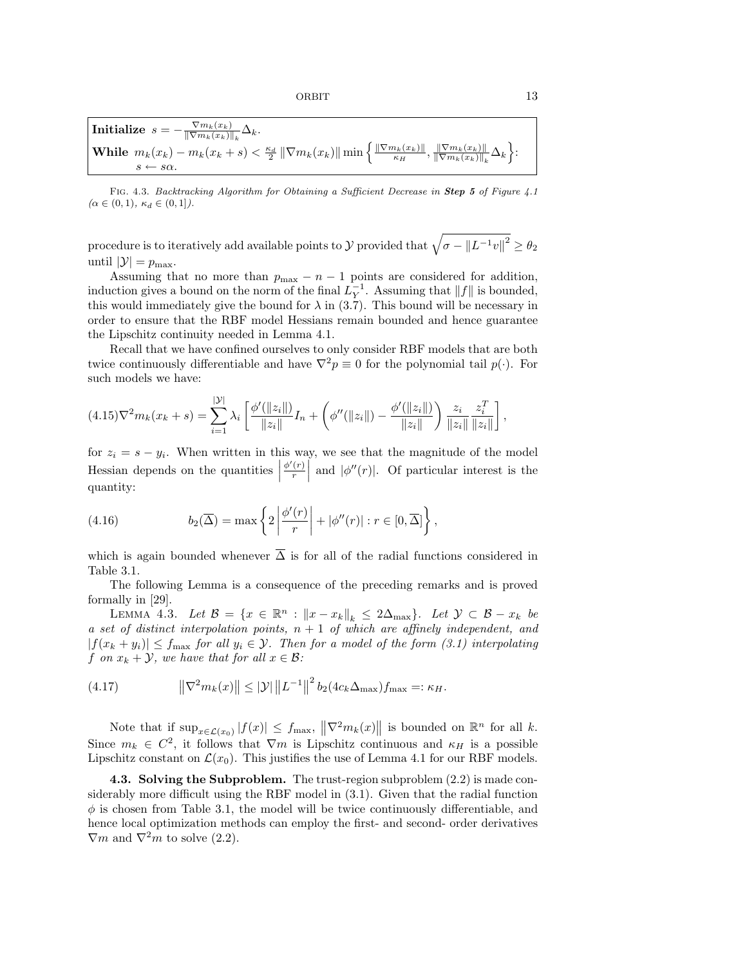$$
\begin{cases}\text{Initialize } s = -\frac{\nabla m_k(x_k)}{\|\nabla m_k(x_k)\|_k} \Delta_k, \\ \text{While } m_k(x_k) - m_k(x_k + s) < \frac{\kappa_d}{2} \|\nabla m_k(x_k)\| \min\left\{\frac{\|\nabla m_k(x_k)\|}{\kappa_H}, \frac{\|\nabla m_k(x_k)\|}{\|\nabla m_k(x_k)\|_k} \Delta_k\right\} \\ s < -s\alpha.\end{cases}
$$

FIG. 4.3. Backtracking Algorithm for Obtaining a Sufficient Decrease in Step 5 of Figure 4.1  $(\alpha \in (0,1), \kappa_d \in (0,1]).$ 

procedure is to iteratively add available points to  $\cal Y$  provided that  $\sqrt{\sigma - \|L^{-1}v\|^2} \geq \theta_2$ until  $|\mathcal{Y}| = p_{\text{max}}$ .

Assuming that no more than  $p_{\text{max}} - n - 1$  points are considered for addition, induction gives a bound on the norm of the final  $L_Y^{-1}$ . Assuming that  $||f||$  is bounded, this would immediately give the bound for  $\lambda$  in (3.7). This bound will be necessary in order to ensure that the RBF model Hessians remain bounded and hence guarantee the Lipschitz continuity needed in Lemma 4.1.

Recall that we have confined ourselves to only consider RBF models that are both twice continuously differentiable and have  $\nabla^2 p \equiv 0$  for the polynomial tail  $p(\cdot)$ . For such models we have:

$$
(4.15)\nabla^2 m_k(x_k+s) = \sum_{i=1}^{|\mathcal{Y}|} \lambda_i \left[ \frac{\phi'(\|z_i\|)}{\|z_i\|} I_n + \left( \phi''(\|z_i\|) - \frac{\phi'(\|z_i\|)}{\|z_i\|} \right) \frac{z_i}{\|z_i\|} \frac{z_i^T}{\|z_i\|} \right],
$$

for  $z_i = s - y_i$ . When written in this way, we see that the magnitude of the model  $\left| \right|$  Hessian depends on the quantities  $\left| \right|$  $\phi'(r)$  $\left| \frac{r}{r} \right|$  and  $|\phi''(r)|$ . Of particular interest is the quantity:

(4.16) 
$$
b_2(\overline{\Delta}) = \max \left\{ 2 \left| \frac{\phi'(r)}{r} \right| + |\phi''(r)| : r \in [0, \overline{\Delta}] \right\},\,
$$

which is again bounded whenever  $\overline{\Delta}$  is for all of the radial functions considered in Table 3.1.

The following Lemma is a consequence of the preceding remarks and is proved formally in [29].

LEMMA 4.3. Let  $\mathcal{B} = \{x \in \mathbb{R}^n : ||x - x_k||_k \leq 2\Delta_{\max}\}.$  Let  $\mathcal{Y} \subset \mathcal{B} - x_k$  be a set of distinct interpolation points,  $n + 1$  of which are affinely independent, and  $|f(x_k + y_i)| \le f_{\text{max}}$  for all  $y_i \in \mathcal{Y}$ . Then for a model of the form (3.1) interpolating f on  $x_k + \mathcal{Y}$ , we have that for all  $x \in \mathcal{B}$ :

(4.17) 
$$
\left\|\nabla^2 m_k(x)\right\| \leq |\mathcal{Y}| \left\|L^{-1}\right\|^2 b_2(4c_k\Delta_{\max})f_{\max} =: \kappa_H.
$$

Note that if  $\sup_{x \in \mathcal{L}(x_0)} |f(x)| \leq f_{\max}$ ,  $\|\nabla^2 m_k(x)\|$  is bounded on  $\mathbb{R}^n$  for all k. Since  $m_k \in C^2$ , it follows that  $\nabla m$  is Lipschitz continuous and  $\kappa_H$  is a possible Lipschitz constant on  $\mathcal{L}(x_0)$ . This justifies the use of Lemma 4.1 for our RBF models.

4.3. Solving the Subproblem. The trust-region subproblem  $(2.2)$  is made considerably more difficult using the RBF model in (3.1). Given that the radial function  $\phi$  is chosen from Table 3.1, the model will be twice continuously differentiable, and hence local optimization methods can employ the first- and second- order derivatives  $\nabla m$  and  $\nabla^2 m$  to solve (2.2).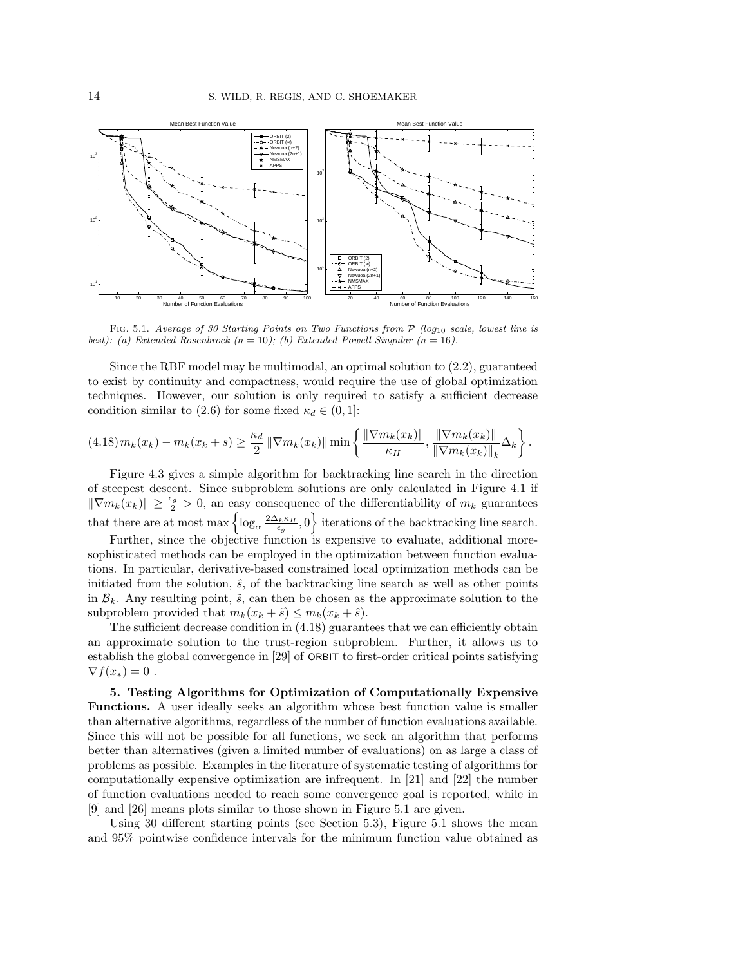

FIG. 5.1. Average of 30 Starting Points on Two Functions from  $P$  (log<sub>10</sub> scale, lowest line is best): (a) Extended Rosenbrock  $(n = 10)$ ; (b) Extended Powell Singular  $(n = 16)$ .

Since the RBF model may be multimodal, an optimal solution to (2.2), guaranteed to exist by continuity and compactness, would require the use of global optimization techniques. However, our solution is only required to satisfy a sufficient decrease condition similar to (2.6) for some fixed  $\kappa_d \in (0,1]$ :

$$
(4.18) \, m_k(x_k) - m_k(x_k + s) \ge \frac{\kappa_d}{2} \, \|\nabla m_k(x_k)\| \min\left\{ \frac{\|\nabla m_k(x_k)\|}{\kappa_H}, \frac{\|\nabla m_k(x_k)\|}{\|\nabla m_k(x_k)\|_k} \Delta_k \right\}.
$$

Figure 4.3 gives a simple algorithm for backtracking line search in the direction of steepest descent. Since subproblem solutions are only calculated in Figure 4.1 if  $\|\nabla m_k(x_k)\| \geq \frac{\epsilon_g}{2} > 0$ , an easy consequence of the differentiability of  $m_k$  guarantees that there are at most  $\max \left\{ \log_{\alpha} \frac{2 \Delta_k \kappa_H}{\epsilon_g}, 0 \right\}$  iterations of the backtracking line search.

Further, since the objective function is expensive to evaluate, additional moresophisticated methods can be employed in the optimization between function evaluations. In particular, derivative-based constrained local optimization methods can be initiated from the solution,  $\hat{s}$ , of the backtracking line search as well as other points in  $\mathcal{B}_k$ . Any resulting point,  $\tilde{s}$ , can then be chosen as the approximate solution to the subproblem provided that  $m_k(x_k + \tilde{s}) \leq m_k(x_k + \hat{s}).$ 

The sufficient decrease condition in (4.18) guarantees that we can efficiently obtain an approximate solution to the trust-region subproblem. Further, it allows us to establish the global convergence in [29] of ORBIT to first-order critical points satisfying  $\nabla f(x_*)=0.$ 

5. Testing Algorithms for Optimization of Computationally Expensive Functions. A user ideally seeks an algorithm whose best function value is smaller than alternative algorithms, regardless of the number of function evaluations available. Since this will not be possible for all functions, we seek an algorithm that performs better than alternatives (given a limited number of evaluations) on as large a class of problems as possible. Examples in the literature of systematic testing of algorithms for computationally expensive optimization are infrequent. In [21] and [22] the number of function evaluations needed to reach some convergence goal is reported, while in [9] and [26] means plots similar to those shown in Figure 5.1 are given.

Using 30 different starting points (see Section 5.3), Figure 5.1 shows the mean and 95% pointwise confidence intervals for the minimum function value obtained as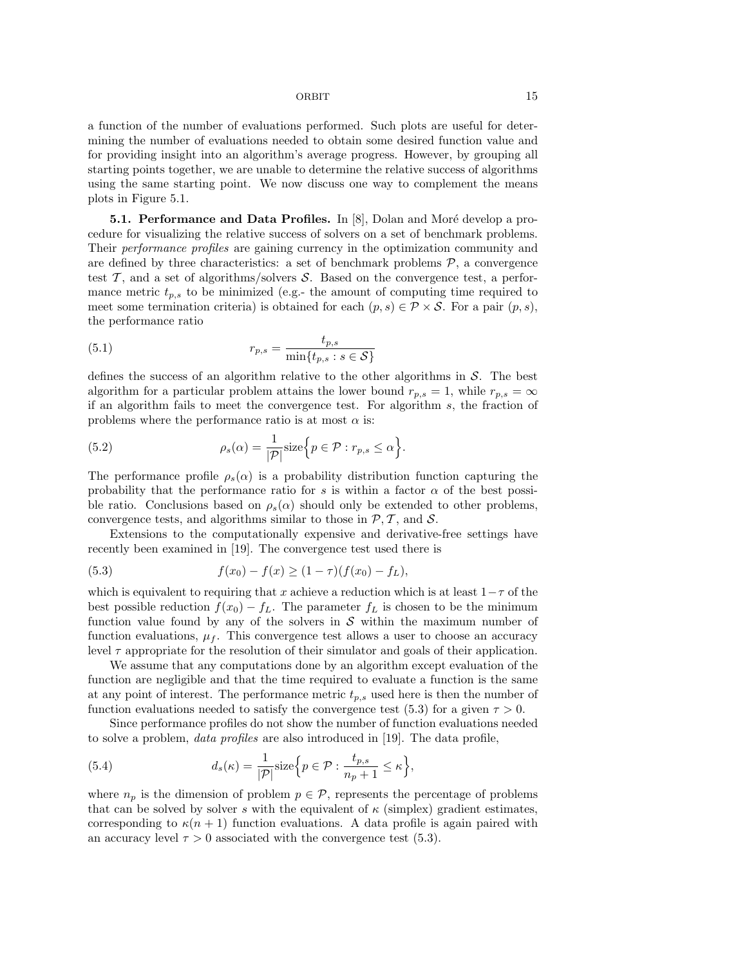a function of the number of evaluations performed. Such plots are useful for determining the number of evaluations needed to obtain some desired function value and for providing insight into an algorithm's average progress. However, by grouping all starting points together, we are unable to determine the relative success of algorithms using the same starting point. We now discuss one way to complement the means plots in Figure 5.1.

**5.1. Performance and Data Profiles.** In  $[8]$ , Dolan and Moré develop a procedure for visualizing the relative success of solvers on a set of benchmark problems. Their performance profiles are gaining currency in the optimization community and are defined by three characteristics: a set of benchmark problems  $P$ , a convergence test  $\mathcal{T}$ , and a set of algorithms/solvers  $\mathcal{S}$ . Based on the convergence test, a performance metric  $t_{p,s}$  to be minimized (e.g.- the amount of computing time required to meet some termination criteria) is obtained for each  $(p, s) \in \mathcal{P} \times \mathcal{S}$ . For a pair  $(p, s)$ , the performance ratio

(5.1) 
$$
r_{p,s} = \frac{t_{p,s}}{\min\{t_{p,s} : s \in \mathcal{S}\}}
$$

defines the success of an algorithm relative to the other algorithms in  $S$ . The best algorithm for a particular problem attains the lower bound  $r_{p,s} = 1$ , while  $r_{p,s} = \infty$ if an algorithm fails to meet the convergence test. For algorithm s, the fraction of problems where the performance ratio is at most  $\alpha$  is:

(5.2) 
$$
\rho_s(\alpha) = \frac{1}{|\mathcal{P}|} \text{size}\Big\{p \in \mathcal{P} : r_{p,s} \leq \alpha\Big\}.
$$

The performance profile  $\rho_s(\alpha)$  is a probability distribution function capturing the probability that the performance ratio for s is within a factor  $\alpha$  of the best possible ratio. Conclusions based on  $\rho_s(\alpha)$  should only be extended to other problems, convergence tests, and algorithms similar to those in  $P, T$ , and S.

Extensions to the computationally expensive and derivative-free settings have recently been examined in [19]. The convergence test used there is

(5.3) 
$$
f(x_0) - f(x) \ge (1 - \tau)(f(x_0) - f_L),
$$

which is equivalent to requiring that x achieve a reduction which is at least  $1-\tau$  of the best possible reduction  $f(x_0) - f_L$ . The parameter  $f_L$  is chosen to be the minimum function value found by any of the solvers in  $S$  within the maximum number of function evaluations,  $\mu_f$ . This convergence test allows a user to choose an accuracy level  $\tau$  appropriate for the resolution of their simulator and goals of their application.

We assume that any computations done by an algorithm except evaluation of the function are negligible and that the time required to evaluate a function is the same at any point of interest. The performance metric  $t_{p,s}$  used here is then the number of function evaluations needed to satisfy the convergence test (5.3) for a given  $\tau > 0$ .

Since performance profiles do not show the number of function evaluations needed to solve a problem, data profiles are also introduced in [19]. The data profile,

(5.4) 
$$
d_s(\kappa) = \frac{1}{|\mathcal{P}|} \text{size}\Big\{p \in \mathcal{P} : \frac{t_{p,s}}{n_p + 1} \leq \kappa\Big\},\
$$

where  $n_p$  is the dimension of problem  $p \in \mathcal{P}$ , represents the percentage of problems that can be solved by solver s with the equivalent of  $\kappa$  (simplex) gradient estimates, corresponding to  $\kappa(n+1)$  function evaluations. A data profile is again paired with an accuracy level  $\tau > 0$  associated with the convergence test (5.3).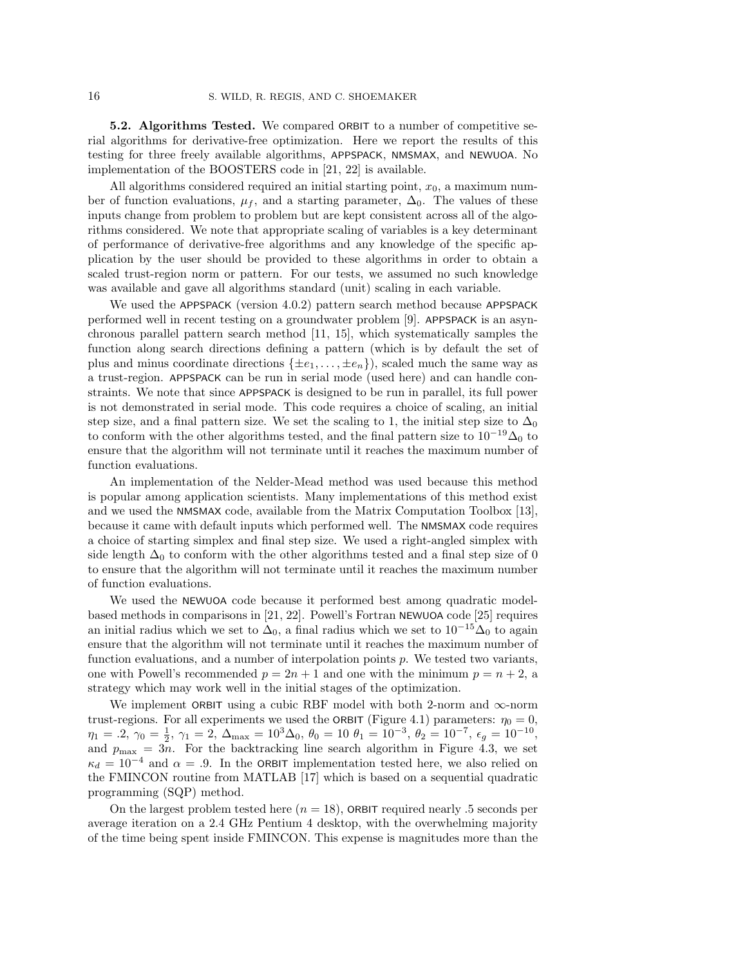5.2. Algorithms Tested. We compared ORBIT to a number of competitive serial algorithms for derivative-free optimization. Here we report the results of this testing for three freely available algorithms, APPSPACK, NMSMAX, and NEWUOA. No implementation of the BOOSTERS code in [21, 22] is available.

All algorithms considered required an initial starting point,  $x_0$ , a maximum number of function evaluations,  $\mu_f$ , and a starting parameter,  $\Delta_0$ . The values of these inputs change from problem to problem but are kept consistent across all of the algorithms considered. We note that appropriate scaling of variables is a key determinant of performance of derivative-free algorithms and any knowledge of the specific application by the user should be provided to these algorithms in order to obtain a scaled trust-region norm or pattern. For our tests, we assumed no such knowledge was available and gave all algorithms standard (unit) scaling in each variable.

We used the APPSPACK (version 4.0.2) pattern search method because APPSPACK performed well in recent testing on a groundwater problem [9]. APPSPACK is an asynchronous parallel pattern search method [11, 15], which systematically samples the function along search directions defining a pattern (which is by default the set of plus and minus coordinate directions  $\{\pm e_1, \ldots, \pm e_n\}$ , scaled much the same way as a trust-region. APPSPACK can be run in serial mode (used here) and can handle constraints. We note that since APPSPACK is designed to be run in parallel, its full power is not demonstrated in serial mode. This code requires a choice of scaling, an initial step size, and a final pattern size. We set the scaling to 1, the initial step size to  $\Delta_0$ to conform with the other algorithms tested, and the final pattern size to  $10^{-19}\Delta_0$  to ensure that the algorithm will not terminate until it reaches the maximum number of function evaluations.

An implementation of the Nelder-Mead method was used because this method is popular among application scientists. Many implementations of this method exist and we used the NMSMAX code, available from the Matrix Computation Toolbox [13], because it came with default inputs which performed well. The NMSMAX code requires a choice of starting simplex and final step size. We used a right-angled simplex with side length  $\Delta_0$  to conform with the other algorithms tested and a final step size of 0 to ensure that the algorithm will not terminate until it reaches the maximum number of function evaluations.

We used the NEWUOA code because it performed best among quadratic modelbased methods in comparisons in [21, 22]. Powell's Fortran NEWUOA code [25] requires an initial radius which we set to  $\Delta_0$ , a final radius which we set to  $10^{-15}\Delta_0$  to again ensure that the algorithm will not terminate until it reaches the maximum number of function evaluations, and a number of interpolation points p. We tested two variants, one with Powell's recommended  $p = 2n + 1$  and one with the minimum  $p = n + 2$ , a strategy which may work well in the initial stages of the optimization.

We implement ORBIT using a cubic RBF model with both 2-norm and  $\infty$ -norm trust-regions. For all experiments we used the ORBIT (Figure 4.1) parameters:  $\eta_0 = 0$ ,  $\eta_1 = .2, \, \gamma_0 = \frac{1}{2}, \, \gamma_1 = 2, \, \Delta_{\text{max}} = 10^3 \Delta_0, \, \theta_0 = 10 \, \theta_1 = 10^{-3}, \, \theta_2 = 10^{-7}, \, \epsilon_g = 10^{-10},$ and  $p_{\text{max}} = 3n$ . For the backtracking line search algorithm in Figure 4.3, we set  $\kappa_d = 10^{-4}$  and  $\alpha = .9$ . In the ORBIT implementation tested here, we also relied on the FMINCON routine from MATLAB [17] which is based on a sequential quadratic programming (SQP) method.

On the largest problem tested here  $(n = 18)$ , ORBIT required nearly .5 seconds per average iteration on a 2.4 GHz Pentium 4 desktop, with the overwhelming majority of the time being spent inside FMINCON. This expense is magnitudes more than the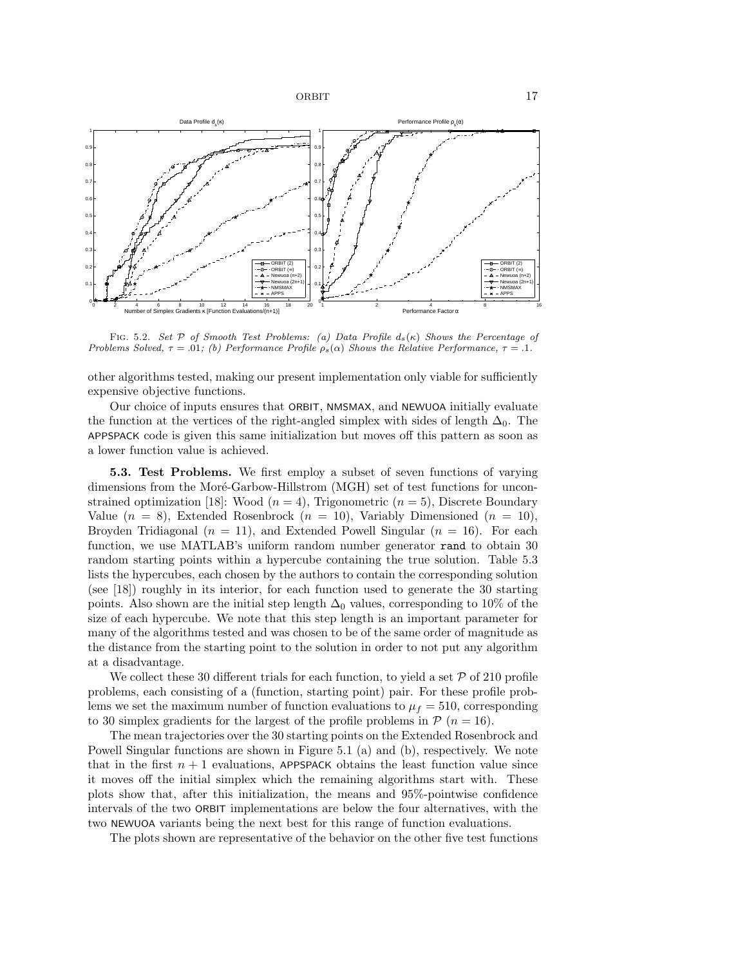

FIG. 5.2. Set P of Smooth Test Problems: (a) Data Profile  $d_s(\kappa)$  Shows the Percentage of Problems Solved,  $\tau = .01$ ; (b) Performance Profile  $\rho_s(\alpha)$  Shows the Relative Performance,  $\tau = .1$ .

other algorithms tested, making our present implementation only viable for sufficiently expensive objective functions.

Our choice of inputs ensures that ORBIT, NMSMAX, and NEWUOA initially evaluate the function at the vertices of the right-angled simplex with sides of length  $\Delta_0$ . The APPSPACK code is given this same initialization but moves off this pattern as soon as a lower function value is achieved.

5.3. Test Problems. We first employ a subset of seven functions of varying dimensions from the Moré-Garbow-Hillstrom (MGH) set of test functions for unconstrained optimization [18]: Wood  $(n = 4)$ , Trigonometric  $(n = 5)$ , Discrete Boundary Value  $(n = 8)$ , Extended Rosenbrock  $(n = 10)$ , Variably Dimensioned  $(n = 10)$ , Broyden Tridiagonal  $(n = 11)$ , and Extended Powell Singular  $(n = 16)$ . For each function, we use MATLAB's uniform random number generator rand to obtain 30 random starting points within a hypercube containing the true solution. Table 5.3 lists the hypercubes, each chosen by the authors to contain the corresponding solution (see [18]) roughly in its interior, for each function used to generate the 30 starting points. Also shown are the initial step length  $\Delta_0$  values, corresponding to 10% of the size of each hypercube. We note that this step length is an important parameter for many of the algorithms tested and was chosen to be of the same order of magnitude as the distance from the starting point to the solution in order to not put any algorithm at a disadvantage.

We collect these 30 different trials for each function, to yield a set  $P$  of 210 profile problems, each consisting of a (function, starting point) pair. For these profile problems we set the maximum number of function evaluations to  $\mu_f = 510$ , corresponding to 30 simplex gradients for the largest of the profile problems in  $\mathcal{P}(n = 16)$ .

The mean trajectories over the 30 starting points on the Extended Rosenbrock and Powell Singular functions are shown in Figure 5.1 (a) and (b), respectively. We note that in the first  $n + 1$  evaluations, APPSPACK obtains the least function value since it moves off the initial simplex which the remaining algorithms start with. These plots show that, after this initialization, the means and 95%-pointwise confidence intervals of the two ORBIT implementations are below the four alternatives, with the two NEWUOA variants being the next best for this range of function evaluations.

The plots shown are representative of the behavior on the other five test functions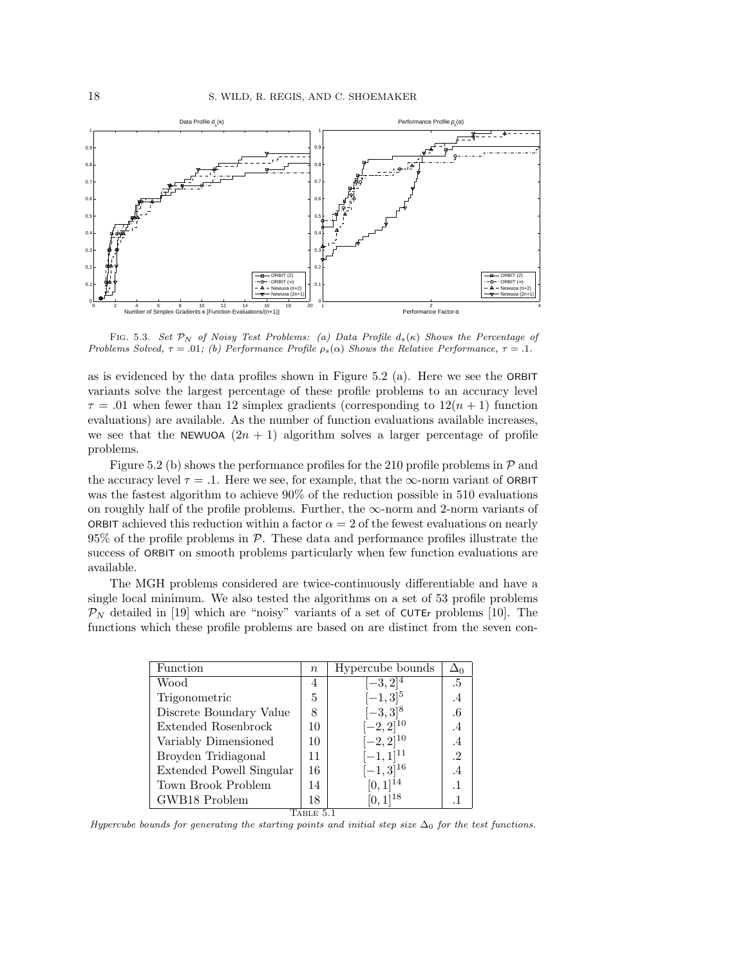

FIG. 5.3. Set  $\mathcal{P}_N$  of Noisy Test Problems: (a) Data Profile  $d_s(\kappa)$  Shows the Percentage of Problems Solved,  $\tau = .01$ ; (b) Performance Profile  $\rho_s(\alpha)$  Shows the Relative Performance,  $\tau = .1$ .

as is evidenced by the data profiles shown in Figure 5.2 (a). Here we see the ORBIT variants solve the largest percentage of these profile problems to an accuracy level  $\tau = .01$  when fewer than 12 simplex gradients (corresponding to  $12(n + 1)$  function evaluations) are available. As the number of function evaluations available increases, we see that the NEWUOA  $(2n + 1)$  algorithm solves a larger percentage of profile problems.

Figure 5.2 (b) shows the performance profiles for the 210 profile problems in  $\mathcal{P}$  and the accuracy level  $\tau = .1$ . Here we see, for example, that the  $\infty$ -norm variant of ORBIT was the fastest algorithm to achieve 90% of the reduction possible in 510 evaluations on roughly half of the profile problems. Further, the  $\infty$ -norm and 2-norm variants of ORBIT achieved this reduction within a factor  $\alpha = 2$  of the fewest evaluations on nearly  $95\%$  of the profile problems in  $\mathcal{P}$ . These data and performance profiles illustrate the success of ORBIT on smooth problems particularly when few function evaluations are available.

The MGH problems considered are twice-continuously differentiable and have a single local minimum. We also tested the algorithms on a set of 53 profile problems  $\mathcal{P}_N$  detailed in [19] which are "noisy" variants of a set of CUTEr problems [10]. The functions which these profile problems are based on are distinct from the seven con-

| Function                 | $\boldsymbol{n}$ | Hypercube bounds | $\Delta_0$ |  |  |  |
|--------------------------|------------------|------------------|------------|--|--|--|
| Wood                     | 4                | $[-3, 2]^{4}$    | .5         |  |  |  |
| Trigonometric            | 5                | $[-1,3]^{5}$     | $\cdot^4$  |  |  |  |
| Discrete Boundary Value  | 8                | $[-3,3]^{8}$     | .6         |  |  |  |
| Extended Rosenbrock      | 10               | $[-2,2]^{10}$    | $.4\,$     |  |  |  |
| Variably Dimensioned     | 10               | $[-2, 2]^{10}$   | .4         |  |  |  |
| Broyden Tridiagonal      | 11               | $[-1, 1]^{11}$   | $\cdot$ 2  |  |  |  |
| Extended Powell Singular | 16               | $[-1,3]^{16}$    | $.4\,$     |  |  |  |
| Town Brook Problem       | 14               | $[0,1]^{14}$     | $\cdot$ 1  |  |  |  |
| GWB18 Problem            | 18               | $[0,1]^{18}$     | .1         |  |  |  |
| TABLE 5.1                |                  |                  |            |  |  |  |

Hypercube bounds for generating the starting points and initial step size  $\Delta_0$  for the test functions.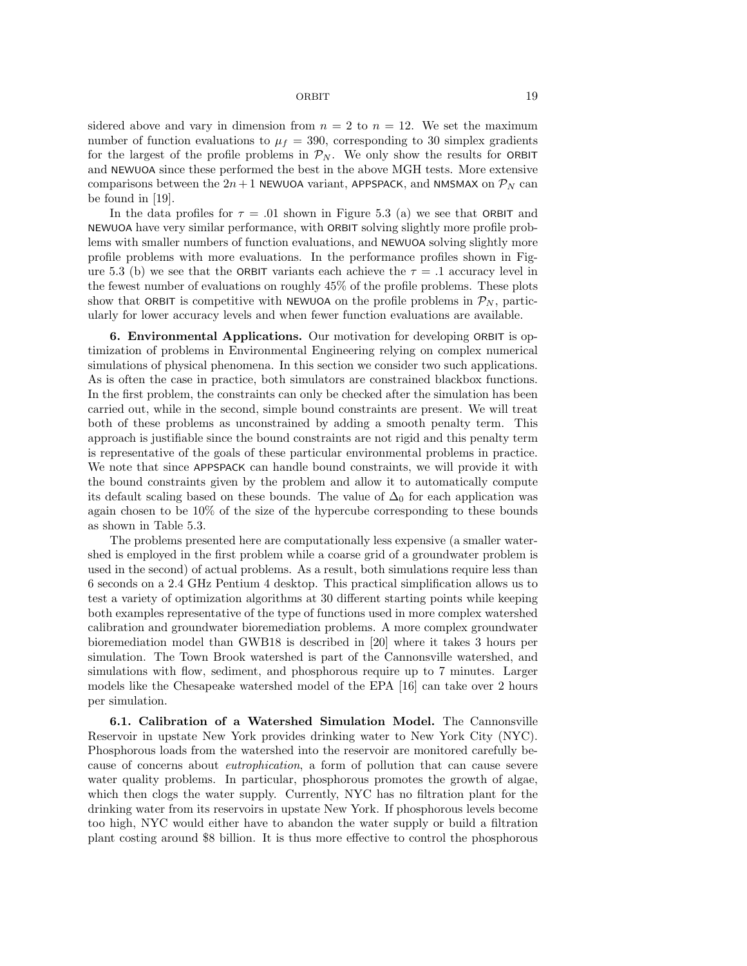sidered above and vary in dimension from  $n = 2$  to  $n = 12$ . We set the maximum number of function evaluations to  $\mu_f = 390$ , corresponding to 30 simplex gradients for the largest of the profile problems in  $\mathcal{P}_N$ . We only show the results for ORBIT and NEWUOA since these performed the best in the above MGH tests. More extensive comparisons between the  $2n+1$  NEWUOA variant, APPSPACK, and NMSMAX on  $\mathcal{P}_N$  can be found in [19].

In the data profiles for  $\tau = .01$  shown in Figure 5.3 (a) we see that ORBIT and NEWUOA have very similar performance, with ORBIT solving slightly more profile problems with smaller numbers of function evaluations, and NEWUOA solving slightly more profile problems with more evaluations. In the performance profiles shown in Figure 5.3 (b) we see that the ORBIT variants each achieve the  $\tau = .1$  accuracy level in the fewest number of evaluations on roughly 45% of the profile problems. These plots show that ORBIT is competitive with NEWUOA on the profile problems in  $\mathcal{P}_N$ , particularly for lower accuracy levels and when fewer function evaluations are available.

6. Environmental Applications. Our motivation for developing ORBIT is optimization of problems in Environmental Engineering relying on complex numerical simulations of physical phenomena. In this section we consider two such applications. As is often the case in practice, both simulators are constrained blackbox functions. In the first problem, the constraints can only be checked after the simulation has been carried out, while in the second, simple bound constraints are present. We will treat both of these problems as unconstrained by adding a smooth penalty term. This approach is justifiable since the bound constraints are not rigid and this penalty term is representative of the goals of these particular environmental problems in practice. We note that since APPSPACK can handle bound constraints, we will provide it with the bound constraints given by the problem and allow it to automatically compute its default scaling based on these bounds. The value of  $\Delta_0$  for each application was again chosen to be 10% of the size of the hypercube corresponding to these bounds as shown in Table 5.3.

The problems presented here are computationally less expensive (a smaller watershed is employed in the first problem while a coarse grid of a groundwater problem is used in the second) of actual problems. As a result, both simulations require less than 6 seconds on a 2.4 GHz Pentium 4 desktop. This practical simplification allows us to test a variety of optimization algorithms at 30 different starting points while keeping both examples representative of the type of functions used in more complex watershed calibration and groundwater bioremediation problems. A more complex groundwater bioremediation model than GWB18 is described in [20] where it takes 3 hours per simulation. The Town Brook watershed is part of the Cannonsville watershed, and simulations with flow, sediment, and phosphorous require up to 7 minutes. Larger models like the Chesapeake watershed model of the EPA [16] can take over 2 hours per simulation.

6.1. Calibration of a Watershed Simulation Model. The Cannonsville Reservoir in upstate New York provides drinking water to New York City (NYC). Phosphorous loads from the watershed into the reservoir are monitored carefully because of concerns about eutrophication, a form of pollution that can cause severe water quality problems. In particular, phosphorous promotes the growth of algae, which then clogs the water supply. Currently, NYC has no filtration plant for the drinking water from its reservoirs in upstate New York. If phosphorous levels become too high, NYC would either have to abandon the water supply or build a filtration plant costing around \$8 billion. It is thus more effective to control the phosphorous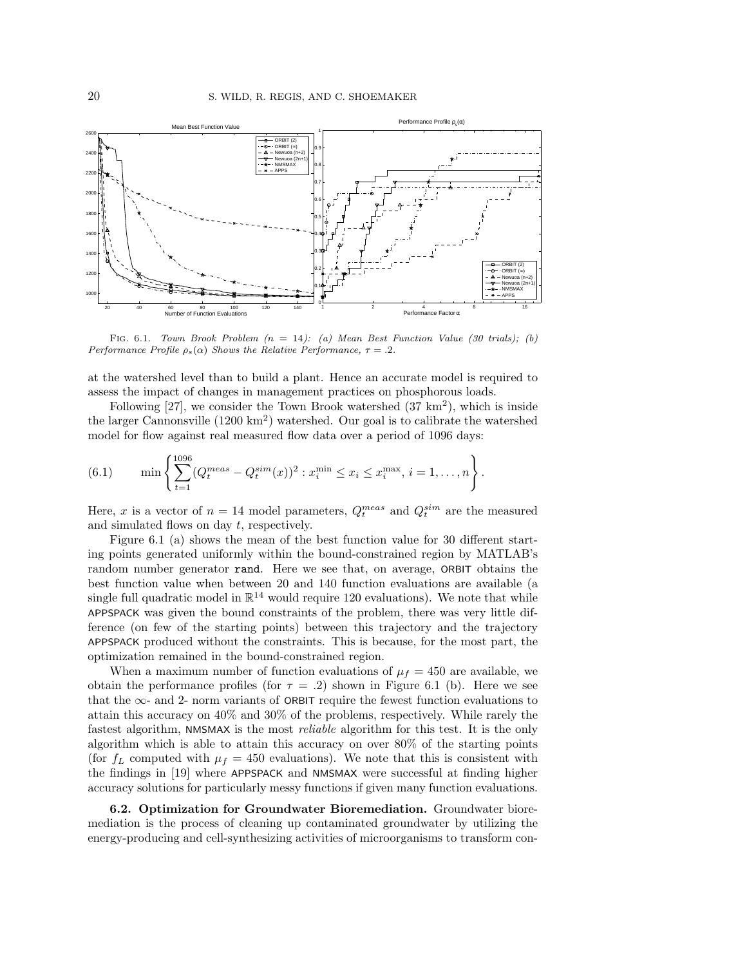

FIG. 6.1. Town Brook Problem  $(n = 14)$ : (a) Mean Best Function Value (30 trials); (b) Performance Profile  $\rho_s(\alpha)$  Shows the Relative Performance,  $\tau = .2$ .

at the watershed level than to build a plant. Hence an accurate model is required to assess the impact of changes in management practices on phosphorous loads.

Following [27], we consider the Town Brook watershed  $(37 \text{ km}^2)$ , which is inside the larger Cannonsville (1200 km<sup>2</sup> ) watershed. Our goal is to calibrate the watershed model for flow against real measured flow data over a period of 1096 days:

(6.1) 
$$
\min \left\{ \sum_{t=1}^{1096} (Q_t^{meas} - Q_t^{sim}(x))^2 : x_i^{min} \le x_i \le x_i^{max}, i = 1, ..., n \right\}.
$$

Here, x is a vector of  $n = 14$  model parameters,  $Q_t^{meas}$  and  $Q_t^{sim}$  are the measured and simulated flows on day t, respectively.

Figure 6.1 (a) shows the mean of the best function value for 30 different starting points generated uniformly within the bound-constrained region by MATLAB's random number generator rand. Here we see that, on average, ORBIT obtains the best function value when between 20 and 140 function evaluations are available (a single full quadratic model in  $\mathbb{R}^{14}$  would require 120 evaluations). We note that while APPSPACK was given the bound constraints of the problem, there was very little difference (on few of the starting points) between this trajectory and the trajectory APPSPACK produced without the constraints. This is because, for the most part, the optimization remained in the bound-constrained region.

When a maximum number of function evaluations of  $\mu_f = 450$  are available, we obtain the performance profiles (for  $\tau = .2$ ) shown in Figure 6.1 (b). Here we see that the  $\infty$ - and 2- norm variants of ORBIT require the fewest function evaluations to attain this accuracy on 40% and 30% of the problems, respectively. While rarely the fastest algorithm, NMSMAX is the most reliable algorithm for this test. It is the only algorithm which is able to attain this accuracy on over 80% of the starting points (for  $f_L$  computed with  $\mu_f = 450$  evaluations). We note that this is consistent with the findings in [19] where APPSPACK and NMSMAX were successful at finding higher accuracy solutions for particularly messy functions if given many function evaluations.

6.2. Optimization for Groundwater Bioremediation. Groundwater bioremediation is the process of cleaning up contaminated groundwater by utilizing the energy-producing and cell-synthesizing activities of microorganisms to transform con-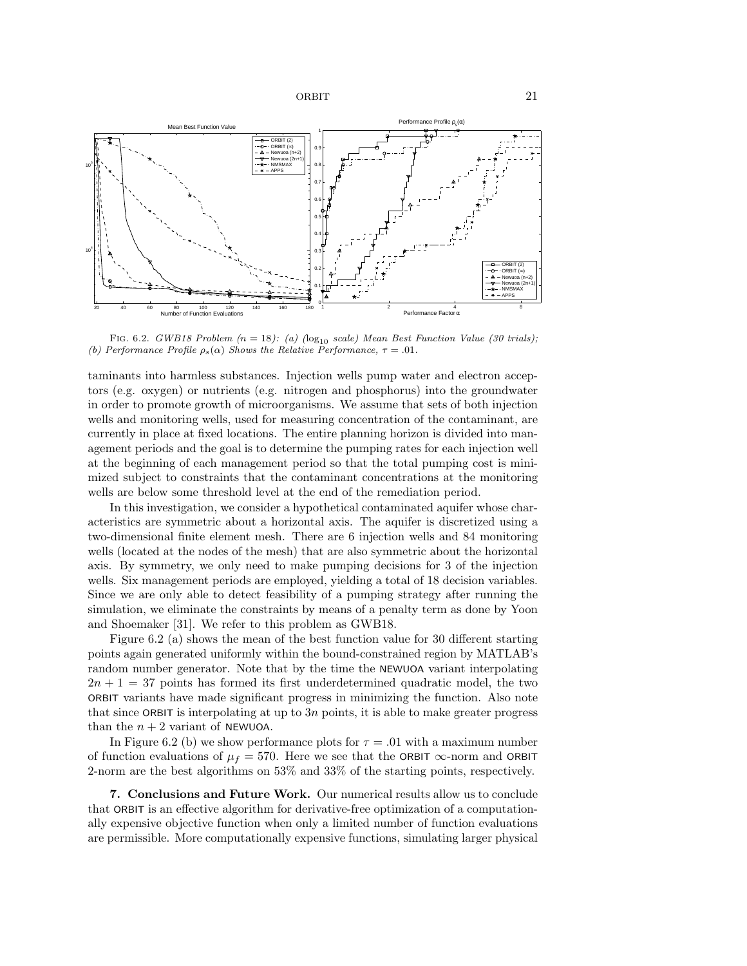

FIG. 6.2. GWB18 Problem  $(n = 18)$ : (a)  $(\log_{10} scale)$  Mean Best Function Value (30 trials); (b) Performance Profile  $\rho_s(\alpha)$  Shows the Relative Performance,  $\tau = .01$ .

taminants into harmless substances. Injection wells pump water and electron acceptors (e.g. oxygen) or nutrients (e.g. nitrogen and phosphorus) into the groundwater in order to promote growth of microorganisms. We assume that sets of both injection wells and monitoring wells, used for measuring concentration of the contaminant, are currently in place at fixed locations. The entire planning horizon is divided into management periods and the goal is to determine the pumping rates for each injection well at the beginning of each management period so that the total pumping cost is minimized subject to constraints that the contaminant concentrations at the monitoring wells are below some threshold level at the end of the remediation period.

In this investigation, we consider a hypothetical contaminated aquifer whose characteristics are symmetric about a horizontal axis. The aquifer is discretized using a two-dimensional finite element mesh. There are 6 injection wells and 84 monitoring wells (located at the nodes of the mesh) that are also symmetric about the horizontal axis. By symmetry, we only need to make pumping decisions for 3 of the injection wells. Six management periods are employed, yielding a total of 18 decision variables. Since we are only able to detect feasibility of a pumping strategy after running the simulation, we eliminate the constraints by means of a penalty term as done by Yoon and Shoemaker [31]. We refer to this problem as GWB18.

Figure 6.2 (a) shows the mean of the best function value for 30 different starting points again generated uniformly within the bound-constrained region by MATLAB's random number generator. Note that by the time the NEWUOA variant interpolating  $2n + 1 = 37$  points has formed its first underdetermined quadratic model, the two ORBIT variants have made significant progress in minimizing the function. Also note that since ORBIT is interpolating at up to  $3n$  points, it is able to make greater progress than the  $n + 2$  variant of NEWUOA.

In Figure 6.2 (b) we show performance plots for  $\tau = .01$  with a maximum number of function evaluations of  $\mu_f = 570$ . Here we see that the ORBIT  $\infty$ -norm and ORBIT 2-norm are the best algorithms on 53% and 33% of the starting points, respectively.

7. Conclusions and Future Work. Our numerical results allow us to conclude that ORBIT is an effective algorithm for derivative-free optimization of a computationally expensive objective function when only a limited number of function evaluations are permissible. More computationally expensive functions, simulating larger physical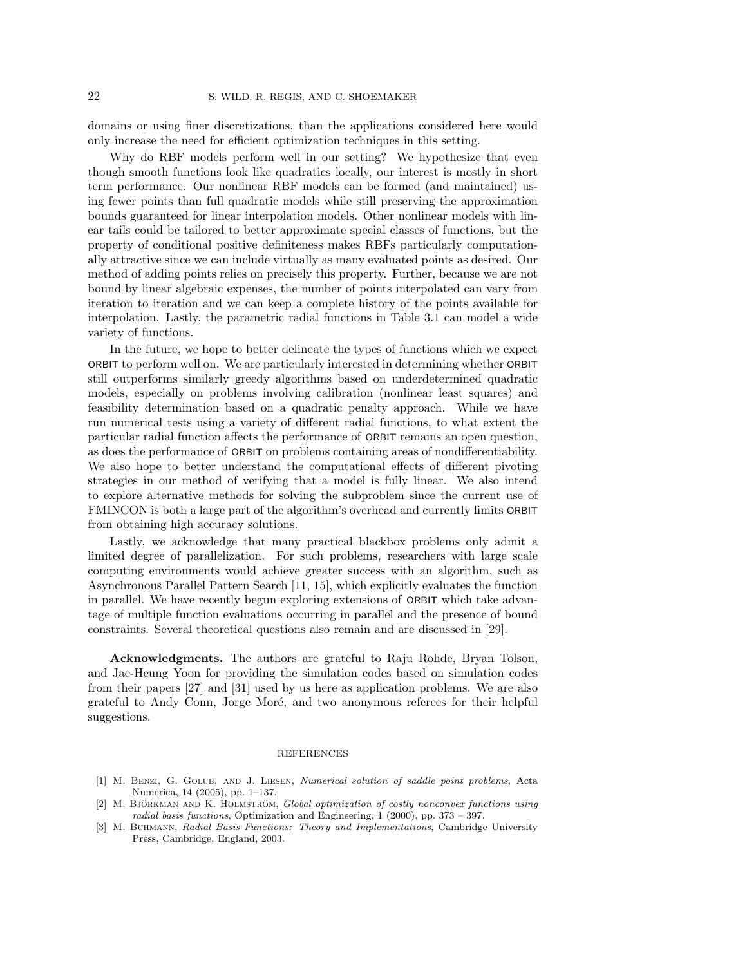domains or using finer discretizations, than the applications considered here would only increase the need for efficient optimization techniques in this setting.

Why do RBF models perform well in our setting? We hypothesize that even though smooth functions look like quadratics locally, our interest is mostly in short term performance. Our nonlinear RBF models can be formed (and maintained) using fewer points than full quadratic models while still preserving the approximation bounds guaranteed for linear interpolation models. Other nonlinear models with linear tails could be tailored to better approximate special classes of functions, but the property of conditional positive definiteness makes RBFs particularly computationally attractive since we can include virtually as many evaluated points as desired. Our method of adding points relies on precisely this property. Further, because we are not bound by linear algebraic expenses, the number of points interpolated can vary from iteration to iteration and we can keep a complete history of the points available for interpolation. Lastly, the parametric radial functions in Table 3.1 can model a wide variety of functions.

In the future, we hope to better delineate the types of functions which we expect ORBIT to perform well on. We are particularly interested in determining whether ORBIT still outperforms similarly greedy algorithms based on underdetermined quadratic models, especially on problems involving calibration (nonlinear least squares) and feasibility determination based on a quadratic penalty approach. While we have run numerical tests using a variety of different radial functions, to what extent the particular radial function affects the performance of ORBIT remains an open question, as does the performance of ORBIT on problems containing areas of nondifferentiability. We also hope to better understand the computational effects of different pivoting strategies in our method of verifying that a model is fully linear. We also intend to explore alternative methods for solving the subproblem since the current use of FMINCON is both a large part of the algorithm's overhead and currently limits ORBIT from obtaining high accuracy solutions.

Lastly, we acknowledge that many practical blackbox problems only admit a limited degree of parallelization. For such problems, researchers with large scale computing environments would achieve greater success with an algorithm, such as Asynchronous Parallel Pattern Search [11, 15], which explicitly evaluates the function in parallel. We have recently begun exploring extensions of ORBIT which take advantage of multiple function evaluations occurring in parallel and the presence of bound constraints. Several theoretical questions also remain and are discussed in [29].

Acknowledgments. The authors are grateful to Raju Rohde, Bryan Tolson, and Jae-Heung Yoon for providing the simulation codes based on simulation codes from their papers [27] and [31] used by us here as application problems. We are also grateful to Andy Conn, Jorge Moré, and two anonymous referees for their helpful suggestions.

## REFERENCES

- [1] M. Benzi, G. Golub, and J. Liesen, Numerical solution of saddle point problems, Acta Numerica, 14 (2005), pp. 1–137.
- [2] M. BJÖRKMAN AND K. HOLMSTRÖM, Global optimization of costly nonconvex functions using radial basis functions, Optimization and Engineering, 1 (2000), pp. 373 – 397.
- [3] M. BUHMANN, Radial Basis Functions: Theory and Implementations, Cambridge University Press, Cambridge, England, 2003.